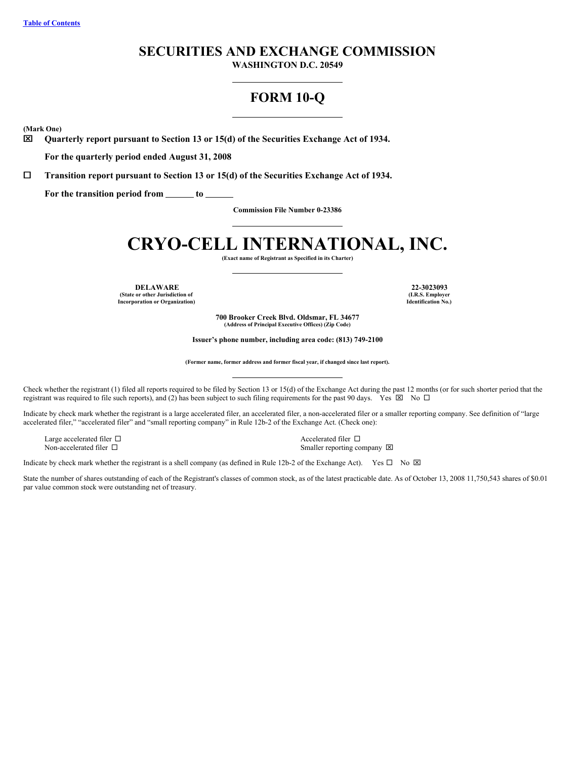# **SECURITIES AND EXCHANGE COMMISSION**

**WASHINGTON D.C. 20549**

# **FORM 10-Q**

**(Mark One)**

x **Quarterly report pursuant to Section 13 or 15(d) of the Securities Exchange Act of 1934.**

**For the quarterly period ended August 31, 2008**

¨ **Transition report pursuant to Section 13 or 15(d) of the Securities Exchange Act of 1934.**

**For the transition period from to**

**Commission File Number 0-23386**

# **CRYO-CELL INTERNATIONAL, INC.**

**(Exact name of Registrant as Specified in its Charter)**

**DELAWARE 22-3023093 (State or other Jurisdiction of Incorporation or Organization)**

**(I.R.S. Employer Identification No.)**

**700 Brooker Creek Blvd. Oldsmar, FL 34677 (Address of Principal Executive Offices) (Zip Code)**

**Issuer's phone number, including area code: (813) 749-2100**

**(Former name, former address and former fiscal year, if changed since last report).**

Check whether the registrant (1) filed all reports required to be filed by Section 13 or 15(d) of the Exchange Act during the past 12 months (or for such shorter period that the registrant was required to file such reports), and (2) has been subject to such filing requirements for the past 90 days. Yes  $\boxtimes$  No  $\Box$ 

Indicate by check mark whether the registrant is a large accelerated filer, an accelerated filer, a non-accelerated filer or a smaller reporting company. See definition of "large accelerated filer," "accelerated filer" and "small reporting company" in Rule 12b-2 of the Exchange Act. (Check one):

Large accelerated filer  $\Box$ <br>
Non-accelerated filer  $\Box$ <br>
Non-accelerated filer  $\Box$ <br>
Smaller reporting co

Smaller reporting company  $\boxtimes$ 

Indicate by check mark whether the registrant is a shell company (as defined in Rule 12b-2 of the Exchange Act). Yes  $\Box$  No  $\boxtimes$ 

State the number of shares outstanding of each of the Registrant's classes of common stock, as of the latest practicable date. As of October 13, 2008 11,750,543 shares of \$0.01 par value common stock were outstanding net of treasury.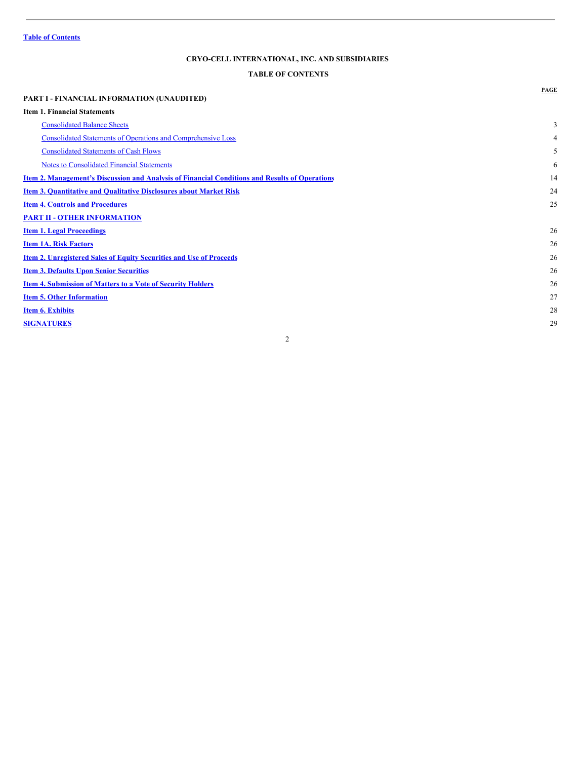### **CRYO-CELL INTERNATIONAL, INC. AND SUBSIDIARIES**

## <span id="page-1-0"></span>**TABLE OF CONTENTS**

|                                                                                                       | PAGE |
|-------------------------------------------------------------------------------------------------------|------|
| <b>PART I - FINANCIAL INFORMATION (UNAUDITED)</b>                                                     |      |
| <b>Item 1. Financial Statements</b>                                                                   |      |
| <b>Consolidated Balance Sheets</b>                                                                    | 3    |
| <b>Consolidated Statements of Operations and Comprehensive Loss</b>                                   | 4    |
| <b>Consolidated Statements of Cash Flows</b>                                                          | 5    |
| <b>Notes to Consolidated Financial Statements</b>                                                     | 6    |
| <u>Item 2. Management's Discussion and Analysis of Financial Conditions and Results of Operations</u> | 14   |
| <b>Item 3. Quantitative and Qualitative Disclosures about Market Risk</b>                             | 24   |
| <b>Item 4. Controls and Procedures</b>                                                                | 25   |
| <b>PART II - OTHER INFORMATION</b>                                                                    |      |
| <b>Item 1. Legal Proceedings</b>                                                                      | 26   |
| <b>Item 1A. Risk Factors</b>                                                                          | 26   |
| <b>Item 2. Unregistered Sales of Equity Securities and Use of Proceeds</b>                            | 26   |
| <b>Item 3. Defaults Upon Senior Securities</b>                                                        | 26   |
| <b>Item 4. Submission of Matters to a Vote of Security Holders</b>                                    | 26   |
| <b>Item 5. Other Information</b>                                                                      | 27   |
| <b>Item 6. Exhibits</b>                                                                               | 28   |
| <b>SIGNATURES</b>                                                                                     | 29   |
|                                                                                                       |      |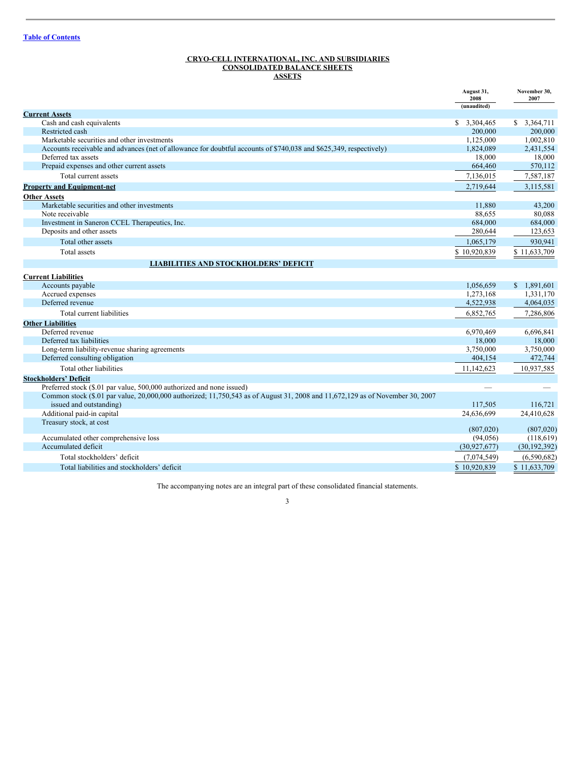#### <span id="page-2-0"></span>**CRYO-CELL INTERNATIONAL, INC. AND SUBSIDIARIES CONSOLIDATED BALANCE SHEETS ASSETS**

|                                                                                                                               | August 31,<br>2008<br>(unaudited) | November 30,<br>2007 |
|-------------------------------------------------------------------------------------------------------------------------------|-----------------------------------|----------------------|
| <b>Current Assets</b>                                                                                                         |                                   |                      |
| Cash and cash equivalents                                                                                                     | \$3,304,465                       | \$ 3,364,711         |
| Restricted cash                                                                                                               | 200,000                           | 200,000              |
| Marketable securities and other investments                                                                                   | 1,125,000                         | 1,002,810            |
| Accounts receivable and advances (net of allowance for doubtful accounts of \$740,038 and \$625,349, respectively)            | 1,824,089                         | 2,431,554            |
| Deferred tax assets                                                                                                           | 18,000                            | 18,000               |
| Prepaid expenses and other current assets                                                                                     | 664,460                           | 570,112              |
| Total current assets                                                                                                          | 7,136,015                         | 7,587,187            |
| <b>Property and Equipment-net</b>                                                                                             | 2,719,644                         | 3,115,581            |
| <b>Other Assets</b>                                                                                                           |                                   |                      |
| Marketable securities and other investments                                                                                   | 11.880                            | 43,200               |
| Note receivable                                                                                                               | 88,655                            | 80,088               |
| Investment in Saneron CCEL Therapeutics, Inc.                                                                                 | 684,000                           | 684,000              |
| Deposits and other assets                                                                                                     | 280,644                           | 123,653              |
| Total other assets                                                                                                            | 1,065,179                         | 930,941              |
| Total assets                                                                                                                  | \$10,920,839                      | \$11,633,709         |
| <b>LIABILITIES AND STOCKHOLDERS' DEFICIT</b>                                                                                  |                                   |                      |
| <b>Current Liabilities</b>                                                                                                    |                                   |                      |
| Accounts payable                                                                                                              | 1.056.659                         | \$1.891,601          |
| Accrued expenses                                                                                                              | 1,273,168                         | 1.331.170            |
| Deferred revenue                                                                                                              | 4,522,938                         | 4,064,035            |
| Total current liabilities                                                                                                     | 6,852,765                         | 7,286,806            |
| <b>Other Liabilities</b>                                                                                                      |                                   |                      |
| Deferred revenue                                                                                                              | 6,970,469                         | 6,696,841            |
| Deferred tax liabilities                                                                                                      | 18,000                            | 18,000               |
| Long-term liability-revenue sharing agreements                                                                                | 3,750,000                         | 3,750,000            |
| Deferred consulting obligation                                                                                                | 404,154                           | 472,744              |
| Total other liabilities                                                                                                       | 11,142,623                        | 10,937,585           |
| <b>Stockholders' Deficit</b>                                                                                                  |                                   |                      |
| Preferred stock (\$.01 par value, 500,000 authorized and none issued)                                                         |                                   |                      |
| Common stock (\$.01 par value, 20,000,000 authorized; 11,750,543 as of August 31, 2008 and 11,672,129 as of November 30, 2007 |                                   |                      |
| issued and outstanding)                                                                                                       | 117,505                           | 116,721              |
| Additional paid-in capital                                                                                                    | 24,636,699                        | 24,410,628           |
| Treasury stock, at cost                                                                                                       |                                   | (807, 020)           |
| Accumulated other comprehensive loss                                                                                          | (807,020)<br>(94, 056)            | (118,619)            |
| Accumulated deficit                                                                                                           | (30, 927, 677)                    | (30, 192, 392)       |
| Total stockholders' deficit                                                                                                   | (7,074,549)                       | (6,590,682)          |
|                                                                                                                               | \$10.920.839                      | \$11,633,709         |
| Total liabilities and stockholders' deficit                                                                                   |                                   |                      |

The accompanying notes are an integral part of these consolidated financial statements.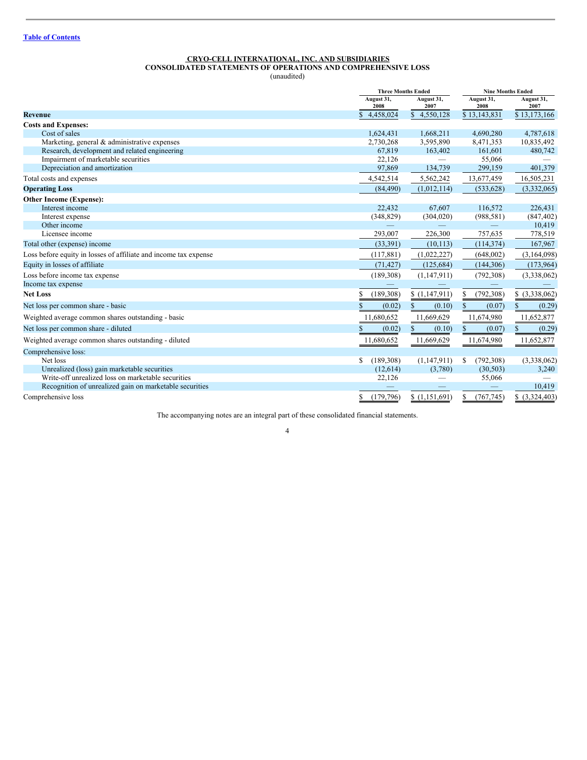### <span id="page-3-0"></span>**CRYO-CELL INTERNATIONAL, INC. AND SUBSIDIARIES CONSOLIDATED STATEMENTS OF OPERATIONS AND COMPREHENSIVE LOSS**

(unaudited)

|                                                                  | <b>Three Months Ended</b> |                          | <b>Nine Months Ended</b>        |                        |
|------------------------------------------------------------------|---------------------------|--------------------------|---------------------------------|------------------------|
|                                                                  | August 31,<br>2008        | August 31,<br>2007       | August 31,<br>2008              | August 31,<br>2007     |
| <b>Revenue</b>                                                   | 4,458,024                 | \$4,550,128              | \$13,143,831                    | \$13,173,166           |
| <b>Costs and Expenses:</b>                                       |                           |                          |                                 |                        |
| Cost of sales                                                    | 1,624,431                 | 1,668,211                | 4,690,280                       | 4,787,618              |
| Marketing, general & administrative expenses                     | 2,730,268                 | 3,595,890                | 8,471,353                       | 10,835,492             |
| Research, development and related engineering                    | 67,819                    | 163,402                  | 161,601                         | 480,742                |
| Impairment of marketable securities                              | 22,126                    | $\overline{\phantom{0}}$ | 55,066                          |                        |
| Depreciation and amortization                                    | 97,869                    | 134,739                  | 299,159                         | 401,379                |
| Total costs and expenses                                         | 4,542,514                 | 5,562,242                | 13,677,459                      | 16,505,231             |
| <b>Operating Loss</b>                                            | (84, 490)                 | (1,012,114)              | (533, 628)                      | (3,332,065)            |
| <b>Other Income (Expense):</b>                                   |                           |                          |                                 |                        |
| Interest income                                                  | 22,432                    | 67,607                   | 116,572                         | 226,431                |
| Interest expense                                                 | (348, 829)                | (304, 020)               | (988, 581)                      | (847, 402)             |
| Other income                                                     |                           |                          |                                 | 10,419                 |
| Licensee income                                                  | 293,007                   | 226,300                  | 757,635                         | 778,519                |
| Total other (expense) income                                     | (33, 391)                 | (10, 113)                | (114, 374)                      | 167,967                |
| Loss before equity in losses of affiliate and income tax expense | (117, 881)                | (1,022,227)              | (648,002)                       | (3,164,098)            |
| Equity in losses of affiliate                                    | (71, 427)                 | (125, 684)               | (144, 306)                      | (173,964)              |
| Loss before income tax expense                                   | (189, 308)                | (1,147,911)              | (792,308)                       | (3,338,062)            |
| Income tax expense                                               |                           |                          |                                 |                        |
| <b>Net Loss</b>                                                  | (189,308)                 | \$(1,147,911)            | (792, 308)                      | \$ (3,338,062)         |
| Net loss per common share - basic                                | (0.02)                    | \$<br>(0.10)             | (0.07)                          | (0.29)                 |
| Weighted average common shares outstanding - basic               | 11,680,652                | 11,669,629               | 11,674,980                      | 11,652,877             |
| Net loss per common share - diluted                              | (0.02)                    | S.<br>(0.10)             | S.<br>(0.07)                    | $\mathbb{S}$<br>(0.29) |
| Weighted average common shares outstanding - diluted             | 11,680,652                | 11,669,629               | 11,674,980                      | 11,652,877             |
| Comprehensive loss:                                              |                           |                          |                                 |                        |
| Net loss                                                         | (189,308)<br>S            | (1,147,911)              | (792, 308)<br>S                 | (3,338,062)            |
| Unrealized (loss) gain marketable securities                     | (12,614)                  | (3,780)                  | (30, 503)                       | 3,240                  |
| Write-off unrealized loss on marketable securities               | 22,126                    |                          | 55,066                          |                        |
| Recognition of unrealized gain on marketable securities          |                           |                          | $\hspace{0.1mm}-\hspace{0.1mm}$ | 10,419                 |
| Comprehensive loss                                               | \$<br>(179,796)           | \$(1,151,691)            | S<br>(767, 745)                 | \$ (3,324,403)         |

The accompanying notes are an integral part of these consolidated financial statements.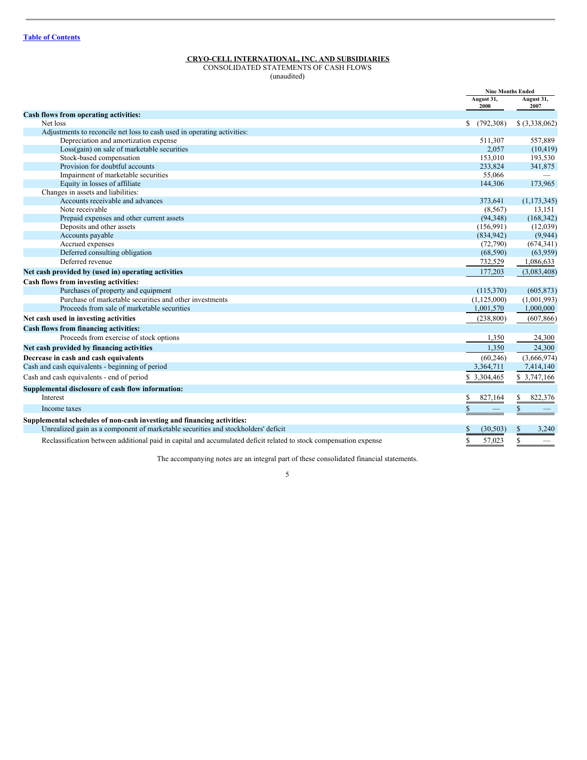#### <span id="page-4-0"></span>**CRYO-CELL INTERNATIONAL, INC. AND SUBSIDIARIES**

CONSOLIDATED STATEMENTS OF CASH FLOWS (unaudited)

|                                                                                                                   | <b>Nine Months Ended</b> |                    |
|-------------------------------------------------------------------------------------------------------------------|--------------------------|--------------------|
|                                                                                                                   | August 31,<br>2008       | August 31,<br>2007 |
| Cash flows from operating activities:                                                                             |                          |                    |
| Net loss                                                                                                          | \$<br>(792,308)          | $$$ (3,338,062)    |
| Adjustments to reconcile net loss to cash used in operating activities:                                           |                          |                    |
| Depreciation and amortization expense                                                                             | 511,307                  | 557,889            |
| Loss(gain) on sale of marketable securities                                                                       | 2,057                    | (10, 419)          |
| Stock-based compensation                                                                                          | 153,010                  | 193,530            |
| Provision for doubtful accounts                                                                                   | 233,824                  | 341,875            |
| Impairment of marketable securities                                                                               | 55,066                   |                    |
| Equity in losses of affiliate                                                                                     | 144,306                  | 173,965            |
| Changes in assets and liabilities:                                                                                |                          |                    |
| Accounts receivable and advances                                                                                  | 373,641                  | (1, 173, 345)      |
| Note receivable                                                                                                   | (8, 567)                 | 13,151             |
| Prepaid expenses and other current assets                                                                         | (94, 348)                | (168, 342)         |
| Deposits and other assets                                                                                         | (156,991)                | (12,039)           |
| Accounts payable                                                                                                  | (834, 942)               | (9,944)            |
| Accrued expenses                                                                                                  | (72,790)                 | (674, 341)         |
| Deferred consulting obligation                                                                                    | (68, 590)                | (63,959)           |
| Deferred revenue                                                                                                  | 732,529                  | 1,086,633          |
| Net cash provided by (used in) operating activities                                                               | 177,203                  | (3,083,408)        |
| Cash flows from investing activities:                                                                             |                          |                    |
| Purchases of property and equipment                                                                               | (115,370)                | (605, 873)         |
| Purchase of marketable securities and other investments                                                           | (1, 125, 000)            | (1,001,993)        |
| Proceeds from sale of marketable securities                                                                       | 1,001,570                | 1,000,000          |
| Net cash used in investing activities                                                                             | (238, 800)               | (607, 866)         |
| Cash flows from financing activities:                                                                             |                          |                    |
| Proceeds from exercise of stock options                                                                           | 1,350                    | 24,300             |
| Net cash provided by financing activities                                                                         | 1,350                    | 24,300             |
| Decrease in cash and cash equivalents                                                                             | (60, 246)                | (3,666,974)        |
| Cash and cash equivalents - beginning of period                                                                   | 3,364,711                | 7,414,140          |
| Cash and cash equivalents - end of period                                                                         | \$ 3,304,465             | \$ 3,747,166       |
| Supplemental disclosure of cash flow information:                                                                 |                          |                    |
| Interest                                                                                                          | 827,164<br>\$            | 822,376<br>\$      |
| Income taxes                                                                                                      | \$                       |                    |
| Supplemental schedules of non-cash investing and financing activities:                                            |                          |                    |
| Unrealized gain as a component of marketable securities and stockholders' deficit                                 | (30, 503)                | 3,240              |
| Reclassification between additional paid in capital and accumulated deficit related to stock compensation expense | \$<br>57,023             | \$                 |

The accompanying notes are an integral part of these consolidated financial statements.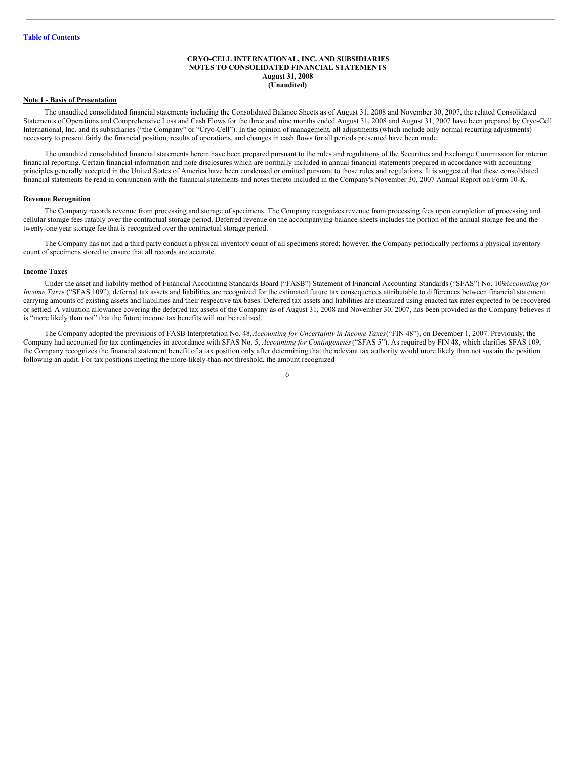#### <span id="page-5-0"></span>**CRYO-CELL INTERNATIONAL, INC. AND SUBSIDIARIES NOTES TO CONSOLIDATED FINANCIAL STATEMENTS August 31, 2008 (Unaudited)**

#### **Note 1 - Basis of Presentation**

The unaudited consolidated financial statements including the Consolidated Balance Sheets as of August 31, 2008 and November 30, 2007, the related Consolidated Statements of Operations and Comprehensive Loss and Cash Flows for the three and nine months ended August 31, 2008 and August 31, 2007 have been prepared by Cryo-Cell International, Inc. and its subsidiaries ("the Company" or "Cryo-Cell"). In the opinion of management, all adjustments (which include only normal recurring adjustments) necessary to present fairly the financial position, results of operations, and changes in cash flows for all periods presented have been made.

The unaudited consolidated financial statements herein have been prepared pursuant to the rules and regulations of the Securities and Exchange Commission for interim financial reporting. Certain financial information and note disclosures which are normally included in annual financial statements prepared in accordance with accounting principles generally accepted in the United States of America have been condensed or omitted pursuant to those rules and regulations. It is suggested that these consolidated financial statements be read in conjunction with the financial statements and notes thereto included in the Company's November 30, 2007 Annual Report on Form 10-K.

#### **Revenue Recognition**

The Company records revenue from processing and storage of specimens. The Company recognizes revenue from processing fees upon completion of processing and cellular storage fees ratably over the contractual storage period. Deferred revenue on the accompanying balance sheets includes the portion of the annual storage fee and the twenty-one year storage fee that is recognized over the contractual storage period.

The Company has not had a third party conduct a physical inventory count of all specimens stored; however, the Company periodically performs a physical inventory count of specimens stored to ensure that all records are accurate.

#### **Income Taxes**

Under the asset and liability method of Financial Accounting Standards Board ("FASB") Statement of Financial Accounting Standards ("SFAS") No. 109*Accounting for Income Taxes* ("SFAS 109"), deferred tax assets and liabilities are recognized for the estimated future tax consequences attributable to differences between financial statement carrying amounts of existing assets and liabilities and their respective tax bases. Deferred tax assets and liabilities are measured using enacted tax rates expected to be recovered or settled. A valuation allowance covering the deferred tax assets of the Company as of August 31, 2008 and November 30, 2007, has been provided as the Company believes it is "more likely than not" that the future income tax benefits will not be realized.

The Company adopted the provisions of FASB Interpretation No. 48,*Accounting for Uncertainty in Income Taxes*("FIN 48"), on December 1, 2007. Previously, the Company had accounted for tax contingencies in accordance with SFAS No. 5, *Accounting for Contingencies*("SFAS 5"). As required by FIN 48, which clarifies SFAS 109, the Company recognizes the financial statement benefit of a tax position only after determining that the relevant tax authority would more likely than not sustain the position following an audit. For tax positions meeting the more-likely-than-not threshold, the amount recognized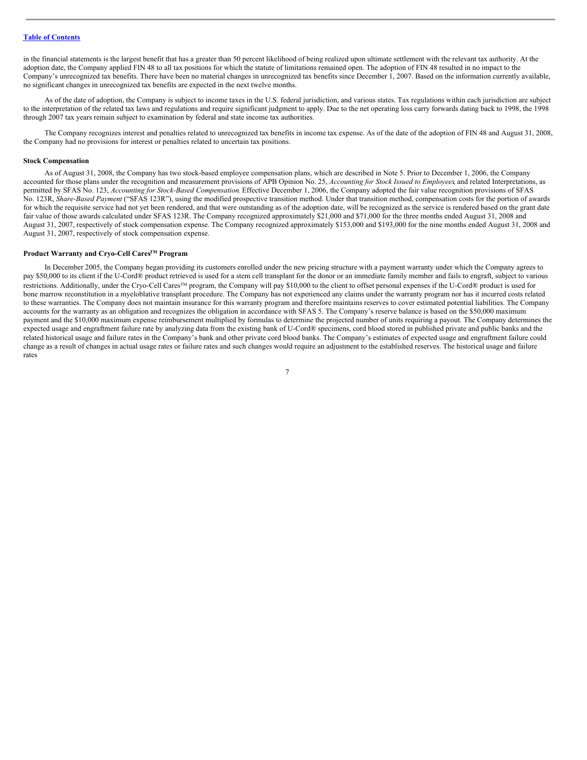in the financial statements is the largest benefit that has a greater than 50 percent likelihood of being realized upon ultimate settlement with the relevant tax authority. At the adoption date, the Company applied FIN 48 to all tax positions for which the statute of limitations remained open. The adoption of FIN 48 resulted in no impact to the Company's unrecognized tax benefits. There have been no material changes in unrecognized tax benefits since December 1, 2007. Based on the information currently available, no significant changes in unrecognized tax benefits are expected in the next twelve months.

As of the date of adoption, the Company is subject to income taxes in the U.S. federal jurisdiction, and various states. Tax regulations within each jurisdiction are subject to the interpretation of the related tax laws and regulations and require significant judgment to apply. Due to the net operating loss carry forwards dating back to 1998, the 1998 through 2007 tax years remain subject to examination by federal and state income tax authorities.

The Company recognizes interest and penalties related to unrecognized tax benefits in income tax expense. As of the date of the adoption of FIN 48 and August 31, 2008, the Company had no provisions for interest or penalties related to uncertain tax positions.

#### **Stock Compensation**

As of August 31, 2008, the Company has two stock-based employee compensation plans, which are described in Note 5. Prior to December 1, 2006, the Company accounted for those plans under the recognition and measurement provisions of APB Opinion No. 25, *Accounting for Stock Issued to Employees*, and related Interpretations, as permitted by SFAS No. 123, *Accounting for Stock-Based Compensation*. Effective December 1, 2006, the Company adopted the fair value recognition provisions of SFAS No. 123R, *Share-Based Payment* ("SFAS 123R"), using the modified prospective transition method. Under that transition method, compensation costs for the portion of awards for which the requisite service had not yet been rendered, and that were outstanding as of the adoption date, will be recognized as the service is rendered based on the grant date fair value of those awards calculated under SFAS 123R. The Company recognized approximately \$21,000 and \$71,000 for the three months ended August 31, 2008 and August 31, 2007, respectively of stock compensation expense. The Company recognized approximately \$153,000 and \$193,000 for the nine months ended August 31, 2008 and August 31, 2007, respectively of stock compensation expense.

### **Product Warranty and Cryo-Cell CaresTM Program**

In December 2005, the Company began providing its customers enrolled under the new pricing structure with a payment warranty under which the Company agrees to pay \$50,000 to its client if the U-Cord® product retrieved is used for a stem cell transplant for the donor or an immediate family member and fails to engraft, subject to various restrictions. Additionally, under the Cryo-Cell Cares<sup>™</sup> program, the Company will pay \$10,000 to the client to offset personal expenses if the U-Cord® product is used for bone marrow reconstitution in a myeloblative transplant procedure. The Company has not experienced any claims under the warranty program nor has it incurred costs related to these warranties. The Company does not maintain insurance for this warranty program and therefore maintains reserves to cover estimated potential liabilities. The Company accounts for the warranty as an obligation and recognizes the obligation in accordance with SFAS 5. The Company's reserve balance is based on the \$50,000 maximum payment and the \$10,000 maximum expense reimbursement multiplied by formulas to determine the projected number of units requiring a payout. The Company determines the expected usage and engraftment failure rate by analyzing data from the existing bank of U-Cord® specimens, cord blood stored in published private and public banks and the related historical usage and failure rates in the Company's bank and other private cord blood banks. The Company's estimates of expected usage and engraftment failure could change as a result of changes in actual usage rates or failure rates and such changes would require an adjustment to the established reserves. The historical usage and failure rates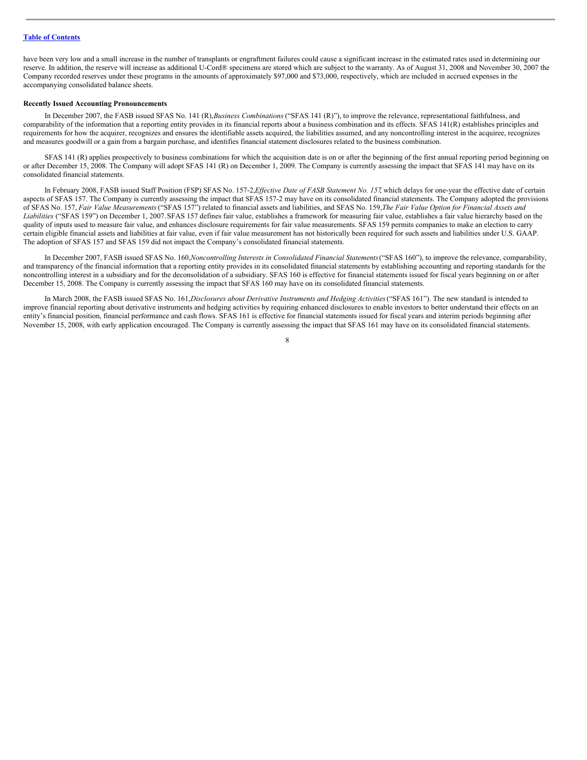have been very low and a small increase in the number of transplants or engraftment failures could cause a significant increase in the estimated rates used in determining our reserve. In addition, the reserve will increase as additional U-Cord® specimens are stored which are subject to the warranty. As of August 31, 2008 and November 30, 2007 the Company recorded reserves under these programs in the amounts of approximately \$97,000 and \$73,000, respectively, which are included in accrued expenses in the accompanying consolidated balance sheets.

#### **Recently Issued Accounting Pronouncements**

In December 2007, the FASB issued SFAS No. 141 (R),*Business Combinations* ("SFAS 141 (R)"), to improve the relevance, representational faithfulness, and comparability of the information that a reporting entity provides in its financial reports about a business combination and its effects. SFAS 141(R) establishes principles and requirements for how the acquirer, recognizes and ensures the identifiable assets acquired, the liabilities assumed, and any noncontrolling interest in the acquiree, recognizes and measures goodwill or a gain from a bargain purchase, and identifies financial statement disclosures related to the business combination.

SFAS 141 (R) applies prospectively to business combinations for which the acquisition date is on or after the beginning of the first annual reporting period beginning on or after December 15, 2008. The Company will adopt SFAS 141 (R) on December 1, 2009. The Company is currently assessing the impact that SFAS 141 may have on its consolidated financial statements.

In February 2008, FASB issued Staff Position (FSP) SFAS No. 157-2,*Ef ective Date of FASB Statement No. 157*, which delays for one-year the effective date of certain aspects of SFAS 157. The Company is currently assessing the impact that SFAS 157-2 may have on its consolidated financial statements. The Company adopted the provisions of SFAS No. 157, Fair Value Measurements ("SFAS 157") related to financial assets and liabilities, and SFAS No. 159, The Fair Value Option for Financial Assets and *Liabilities* ("SFAS 159") on December 1, 2007.SFAS 157 defines fair value, establishes a framework for measuring fair value, establishes a fair value hierarchy based on the quality of inputs used to measure fair value, and enhances disclosure requirements for fair value measurements. SFAS 159 permits companies to make an election to carry certain eligible financial assets and liabilities at fair value, even if fair value measurement has not historically been required for such assets and liabilities under U.S. GAAP. The adoption of SFAS 157 and SFAS 159 did not impact the Company's consolidated financial statements.

In December 2007, FASB issued SFAS No. 160,*Noncontrolling Interests in Consolidated Financial Statements*("SFAS 160"), to improve the relevance, comparability, and transparency of the financial information that a reporting entity provides in its consolidated financial statements by establishing accounting and reporting standards for the noncontrolling interest in a subsidiary and for the deconsolidation of a subsidiary. SFAS 160 is effective for financial statements issued for fiscal years beginning on or after December 15, 2008. The Company is currently assessing the impact that SFAS 160 may have on its consolidated financial statements.

In March 2008, the FASB issued SFAS No. 161,*Disclosures about Derivative Instruments and Hedging Activities*("SFAS 161"). The new standard is intended to improve financial reporting about derivative instruments and hedging activities by requiring enhanced disclosures to enable investors to better understand their effects on an entity's financial position, financial performance and cash flows. SFAS 161 is effective for financial statements issued for fiscal years and interim periods beginning after November 15, 2008, with early application encouraged. The Company is currently assessing the impact that SFAS 161 may have on its consolidated financial statements.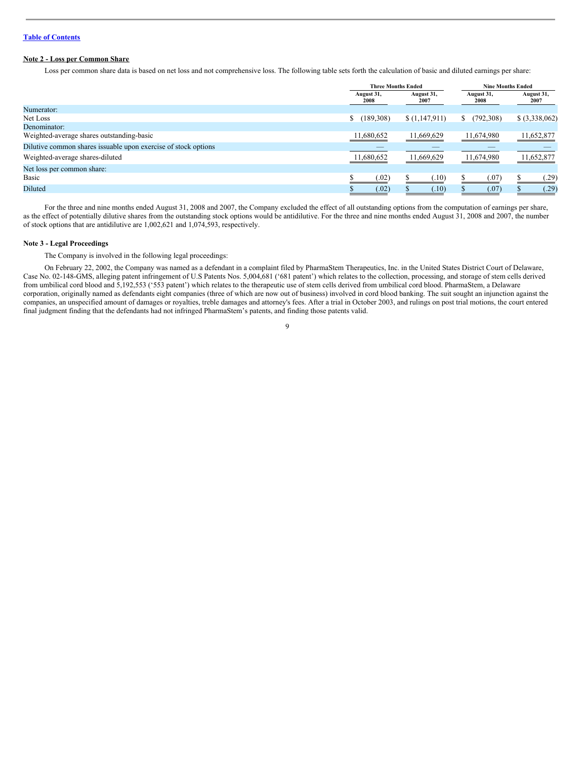### **Note 2 - Loss per Common Share**

Loss per common share data is based on net loss and not comprehensive loss. The following table sets forth the calculation of basic and diluted earnings per share:

|                                                                |                    | <b>Three Months Ended</b> |                    | <b>Nine Months Ended</b> |
|----------------------------------------------------------------|--------------------|---------------------------|--------------------|--------------------------|
|                                                                | August 31,<br>2008 | August 31,<br>2007        | August 31,<br>2008 | August 31,<br>2007       |
| Numerator:                                                     |                    |                           |                    |                          |
| Net Loss                                                       | \$(189,308)        | \$(1,147,911)             | (792,308)<br>S.    | $$$ (3,338,062)          |
| Denominator:                                                   |                    |                           |                    |                          |
| Weighted-average shares outstanding-basic                      | 11,680,652         | 11,669,629                | 11,674,980         | 11,652,877               |
| Dilutive common shares issuable upon exercise of stock options |                    |                           |                    |                          |
| Weighted-average shares-diluted                                | 11,680,652         | 11,669,629                | 11,674,980         | 11,652,877               |
| Net loss per common share:                                     |                    |                           |                    |                          |
| Basic                                                          | (.02)              | (.10)                     | (.07)              | (.29)                    |
| Diluted                                                        | (.02)              | (.10)                     | (.07)              | (.29)                    |

For the three and nine months ended August 31, 2008 and 2007, the Company excluded the effect of all outstanding options from the computation of earnings per share, as the effect of potentially dilutive shares from the outstanding stock options would be antidilutive. For the three and nine months ended August 31, 2008 and 2007, the number of stock options that are antidilutive are 1,002,621 and 1,074,593, respectively.

#### **Note 3 - Legal Proceedings**

The Company is involved in the following legal proceedings:

On February 22, 2002, the Company was named as a defendant in a complaint filed by PharmaStem Therapeutics, Inc. in the United States District Court of Delaware, Case No. 02-148-GMS, alleging patent infringement of U.S Patents Nos. 5,004,681 ('681 patent') which relates to the collection, processing, and storage of stem cells derived from umbilical cord blood and 5,192,553 ('553 patent') which relates to the therapeutic use of stem cells derived from umbilical cord blood. PharmaStem, a Delaware corporation, originally named as defendants eight companies (three of which are now out of business) involved in cord blood banking. The suit sought an injunction against the companies, an unspecified amount of damages or royalties, treble damages and attorney's fees. After a trial in October 2003, and rulings on post trial motions, the court entered final judgment finding that the defendants had not infringed PharmaStem's patents, and finding those patents valid.

 $\overline{Q}$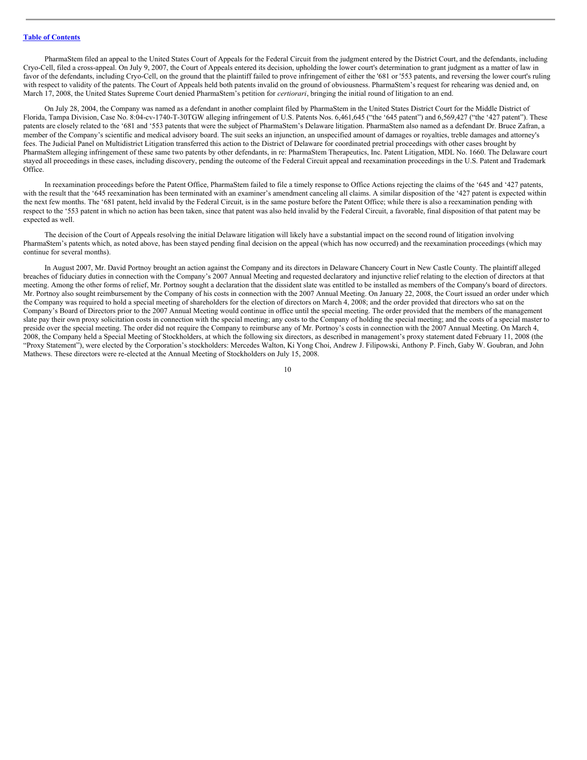PharmaStem filed an appeal to the United States Court of Appeals for the Federal Circuit from the judgment entered by the District Court, and the defendants, including Cryo-Cell, filed a cross-appeal. On July 9, 2007, the Court of Appeals entered its decision, upholding the lower court's determination to grant judgment as a matter of law in favor of the defendants, including Cryo-Cell, on the ground that the plaintiff failed to prove infringement of either the '681 or '553 patents, and reversing the lower court's ruling with respect to validity of the patents. The Court of Appeals held both patents invalid on the ground of obviousness. PharmaStem's request for rehearing was denied and, on March 17, 2008, the United States Supreme Court denied PharmaStem's petition for *certiorari*, bringing the initial round of litigation to an end.

On July 28, 2004, the Company was named as a defendant in another complaint filed by PharmaStem in the United States District Court for the Middle District of Florida, Tampa Division, Case No. 8:04-cv-1740-T-30TGW alleging infringement of U.S. Patents Nos. 6,461,645 ("the '645 patent") and 6,569,427 ("the '427 patent"). These patents are closely related to the '681 and '553 patents that were the subject of PharmaStem's Delaware litigation. PharmaStem also named as a defendant Dr. Bruce Zafran, a member of the Company's scientific and medical advisory board. The suit seeks an injunction, an unspecified amount of damages or royalties, treble damages and attorney's fees. The Judicial Panel on Multidistrict Litigation transferred this action to the District of Delaware for coordinated pretrial proceedings with other cases brought by PharmaStem alleging infringement of these same two patents by other defendants, in re: PharmaStem Therapeutics, Inc. Patent Litigation, MDL No. 1660. The Delaware court stayed all proceedings in these cases, including discovery, pending the outcome of the Federal Circuit appeal and reexamination proceedings in the U.S. Patent and Trademark Office.

In reexamination proceedings before the Patent Office, PharmaStem failed to file a timely response to Office Actions rejecting the claims of the '645 and '427 patents, with the result that the '645 reexamination has been terminated with an examiner's amendment canceling all claims. A similar disposition of the '427 patent is expected within the next few months. The '681 patent, held invalid by the Federal Circuit, is in the same posture before the Patent Office; while there is also a reexamination pending with respect to the '553 patent in which no action has been taken, since that patent was also held invalid by the Federal Circuit, a favorable, final disposition of that patent may be expected as well.

The decision of the Court of Appeals resolving the initial Delaware litigation will likely have a substantial impact on the second round of litigation involving PharmaStem's patents which, as noted above, has been stayed pending final decision on the appeal (which has now occurred) and the reexamination proceedings (which may continue for several months).

In August 2007, Mr. David Portnoy brought an action against the Company and its directors in Delaware Chancery Court in New Castle County. The plaintiff alleged breaches of fiduciary duties in connection with the Company's 2007 Annual Meeting and requested declaratory and injunctive relief relating to the election of directors at that meeting. Among the other forms of relief, Mr. Portnoy sought a declaration that the dissident slate was entitled to be installed as members of the Company's board of directors. Mr. Portnoy also sought reimbursement by the Company of his costs in connection with the 2007 Annual Meeting. On January 22, 2008, the Court issued an order under which the Company was required to hold a special meeting of shareholders for the election of directors on March 4, 2008; and the order provided that directors who sat on the Company's Board of Directors prior to the 2007 Annual Meeting would continue in office until the special meeting. The order provided that the members of the management slate pay their own proxy solicitation costs in connection with the special meeting; any costs to the Company of holding the special meeting; and the costs of a special master to preside over the special meeting. The order did not require the Company to reimburse any of Mr. Portnoy's costs in connection with the 2007 Annual Meeting. On March 4, 2008, the Company held a Special Meeting of Stockholders, at which the following six directors, as described in management's proxy statement dated February 11, 2008 (the "Proxy Statement"), were elected by the Corporation's stockholders: Mercedes Walton, Ki Yong Choi, Andrew J. Filipowski, Anthony P. Finch, Gaby W. Goubran, and John Mathews. These directors were re-elected at the Annual Meeting of Stockholders on July 15, 2008.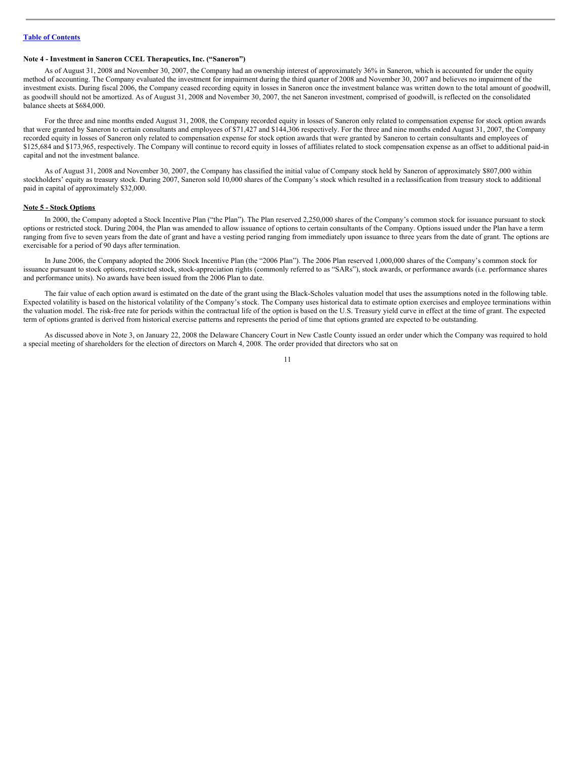### **Note 4 - Investment in Saneron CCEL Therapeutics, Inc. ("Saneron")**

As of August 31, 2008 and November 30, 2007, the Company had an ownership interest of approximately 36% in Saneron, which is accounted for under the equity method of accounting. The Company evaluated the investment for impairment during the third quarter of 2008 and November 30, 2007 and believes no impairment of the investment exists. During fiscal 2006, the Company ceased recording equity in losses in Saneron once the investment balance was written down to the total amount of goodwill, as goodwill should not be amortized. As of August 31, 2008 and November 30, 2007, the net Saneron investment, comprised of goodwill, is reflected on the consolidated balance sheets at \$684,000.

For the three and nine months ended August 31, 2008, the Company recorded equity in losses of Saneron only related to compensation expense for stock option awards that were granted by Saneron to certain consultants and employees of \$71,427 and \$144,306 respectively. For the three and nine months ended August 31, 2007, the Company recorded equity in losses of Saneron only related to compensation expense for stock option awards that were granted by Saneron to certain consultants and employees of \$125,684 and \$173,965, respectively. The Company will continue to record equity in losses of affiliates related to stock compensation expense as an offset to additional paid-in capital and not the investment balance.

As of August 31, 2008 and November 30, 2007, the Company has classified the initial value of Company stock held by Saneron of approximately \$807,000 within stockholders' equity as treasury stock. During 2007, Saneron sold 10,000 shares of the Company's stock which resulted in a reclassification from treasury stock to additional paid in capital of approximately \$32,000.

#### **Note 5 - Stock Options**

In 2000, the Company adopted a Stock Incentive Plan ("the Plan"). The Plan reserved 2,250,000 shares of the Company's common stock for issuance pursuant to stock options or restricted stock. During 2004, the Plan was amended to allow issuance of options to certain consultants of the Company. Options issued under the Plan have a term ranging from five to seven years from the date of grant and have a vesting period ranging from immediately upon issuance to three years from the date of grant. The options are exercisable for a period of 90 days after termination.

In June 2006, the Company adopted the 2006 Stock Incentive Plan (the "2006 Plan"). The 2006 Plan reserved 1,000,000 shares of the Company's common stock for issuance pursuant to stock options, restricted stock, stock-appreciation rights (commonly referred to as "SARs"), stock awards, or performance awards (i.e. performance shares and performance units). No awards have been issued from the 2006 Plan to date.

The fair value of each option award is estimated on the date of the grant using the Black-Scholes valuation model that uses the assumptions noted in the following table. Expected volatility is based on the historical volatility of the Company's stock. The Company uses historical data to estimate option exercises and employee terminations within the valuation model. The risk-free rate for periods within the contractual life of the option is based on the U.S. Treasury yield curve in effect at the time of grant. The expected term of options granted is derived from historical exercise patterns and represents the period of time that options granted are expected to be outstanding.

As discussed above in Note 3, on January 22, 2008 the Delaware Chancery Court in New Castle County issued an order under which the Company was required to hold a special meeting of shareholders for the election of directors on March 4, 2008. The order provided that directors who sat on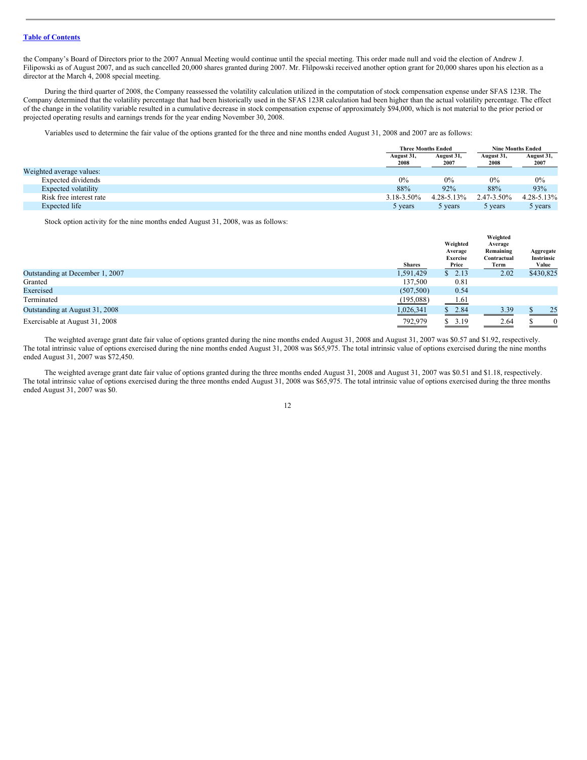the Company's Board of Directors prior to the 2007 Annual Meeting would continue until the special meeting. This order made null and void the election of Andrew J. Filipowski as of August 2007, and as such cancelled 20,000 shares granted during 2007. Mr. Flilpowski received another option grant for 20,000 shares upon his election as a director at the March 4, 2008 special meeting.

During the third quarter of 2008, the Company reassessed the volatility calculation utilized in the computation of stock compensation expense under SFAS 123R. The Company determined that the volatility percentage that had been historically used in the SFAS 123R calculation had been higher than the actual volatility percentage. The effect of the change in the volatility variable resulted in a cumulative decrease in stock compensation expense of approximately \$94,000, which is not material to the prior period or projected operating results and earnings trends for the year ending November 30, 2008.

Variables used to determine the fair value of the options granted for the three and nine months ended August 31, 2008 and 2007 are as follows:

|                          | <b>Three Months Ended</b> |                    | <b>Nine Months Ended</b> |                    |
|--------------------------|---------------------------|--------------------|--------------------------|--------------------|
|                          | August 31,<br>2008        | August 31,<br>2007 | August 31,<br>2008       | August 31,<br>2007 |
| Weighted average values: |                           |                    |                          |                    |
| Expected dividends       | 0%                        | $0\%$              | 0%                       | 0%                 |
| Expected volatility      | 88%                       | 92%                | 88%                      | 93%                |
| Risk free interest rate  | 3.18-3.50%                | $4.28 - 5.13\%$    | 2.47-3.50%               | $4.28 - 5.13\%$    |
| Expected life            | 5 years                   | 5 years            | 5 years                  | 5 years            |

Stock option activity for the nine months ended August 31, 2008, was as follows:

|                                 | <b>Shares</b> | Weighted<br>Average<br><b>Exercise</b><br>Price | Weighted<br>Average<br>Remaining<br>Contractual<br>Term | Aggregate<br>Instrinsic<br>Value |
|---------------------------------|---------------|-------------------------------------------------|---------------------------------------------------------|----------------------------------|
| Outstanding at December 1, 2007 | 1,591,429     | \$2.13                                          | 2.02                                                    | \$430,825                        |
| Granted                         | 137,500       | 0.81                                            |                                                         |                                  |
| Exercised                       | (507, 500)    | 0.54                                            |                                                         |                                  |
| Terminated                      | (195,088)     | 1.61                                            |                                                         |                                  |
| Outstanding at August 31, 2008  | 1,026,341     | \$2.84                                          | 3.39                                                    | 25                               |
| Exercisable at August 31, 2008  | 792,979       | \$3.19                                          | 2.64                                                    | $\mathbf{0}$                     |

The weighted average grant date fair value of options granted during the nine months ended August 31, 2008 and August 31, 2007 was \$0.57 and \$1.92, respectively. The total intrinsic value of options exercised during the nine months ended August 31, 2008 was \$65,975. The total intrinsic value of options exercised during the nine months ended August 31, 2007 was \$72,450.

The weighted average grant date fair value of options granted during the three months ended August 31, 2008 and August 31, 2007 was \$0.51 and \$1.18, respectively. The total intrinsic value of options exercised during the three months ended August 31, 2008 was \$65,975. The total intrinsic value of options exercised during the three months ended August 31, 2007 was \$0.

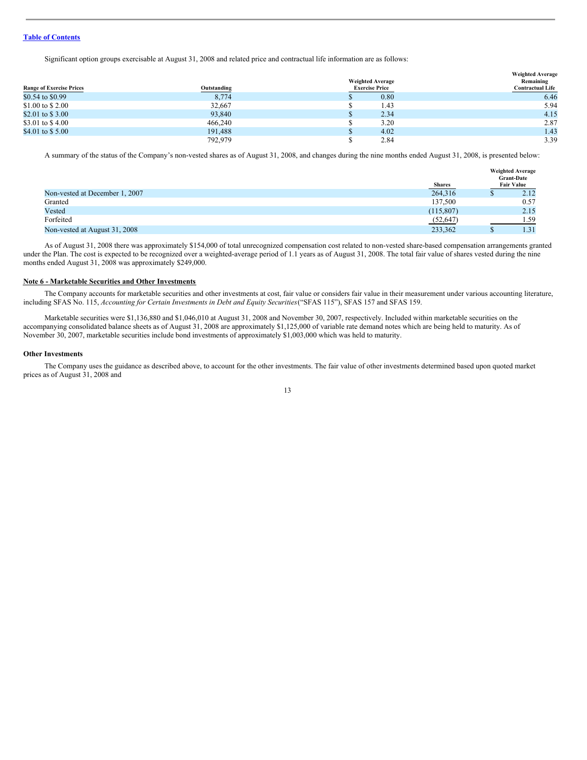Significant option groups exercisable at August 31, 2008 and related price and contractual life information are as follows:

|                                 |             | <b>Weighted Average</b> | <b>Weighted Average</b><br>Remaining |
|---------------------------------|-------------|-------------------------|--------------------------------------|
| <b>Range of Exercise Prices</b> | Outstanding | <b>Exercise Price</b>   | <b>Contractual Life</b>              |
| \$0.54 to \$0.99                | 8,774       | 0.80                    | 6.46                                 |
| \$1.00 to \$2.00                | 32,667      | 1.43                    | 5.94                                 |
| \$2.01 to \$3.00                | 93,840      | 2.34                    | 4.15                                 |
| \$3.01 to \$4.00                | 466,240     | 3.20                    | 2.87                                 |
| \$4.01 to \$5.00                | 191,488     | 4.02                    | 1.43                                 |
|                                 | 792,979     | 2.84                    | 3.39                                 |

A summary of the status of the Company's non-vested shares as of August 31, 2008, and changes during the nine months ended August 31, 2008, is presented below:

|                                | <b>Shares</b> | <b>Weighted Average</b><br><b>Grant-Date</b><br><b>Fair Value</b> |
|--------------------------------|---------------|-------------------------------------------------------------------|
| Non-vested at December 1, 2007 | 264,316       | 2.12                                                              |
| Granted                        | 137,500       | 0.57                                                              |
| Vested                         | (115, 807)    | 2.15                                                              |
| Forfeited                      | (52, 647)     | 1.59                                                              |
| Non-vested at August 31, 2008  | 233,362       | 1.31                                                              |

As of August 31, 2008 there was approximately \$154,000 of total unrecognized compensation cost related to non-vested share-based compensation arrangements granted under the Plan. The cost is expected to be recognized over a weighted-average period of 1.1 years as of August 31, 2008. The total fair value of shares vested during the nine months ended August 31, 2008 was approximately \$249,000.

#### **Note 6 - Marketable Securities and Other Investments**

The Company accounts for marketable securities and other investments at cost, fair value or considers fair value in their measurement under various accounting literature, including SFAS No. 115, *Accounting for Certain Investments in Debt and Equity Securities*("SFAS 115"), SFAS 157 and SFAS 159.

Marketable securities were \$1,136,880 and \$1,046,010 at August 31, 2008 and November 30, 2007, respectively. Included within marketable securities on the accompanying consolidated balance sheets as of August 31, 2008 are approximately \$1,125,000 of variable rate demand notes which are being held to maturity. As of November 30, 2007, marketable securities include bond investments of approximately \$1,003,000 which was held to maturity.

#### **Other Investments**

The Company uses the guidance as described above, to account for the other investments. The fair value of other investments determined based upon quoted market prices as of August 31, 2008 and

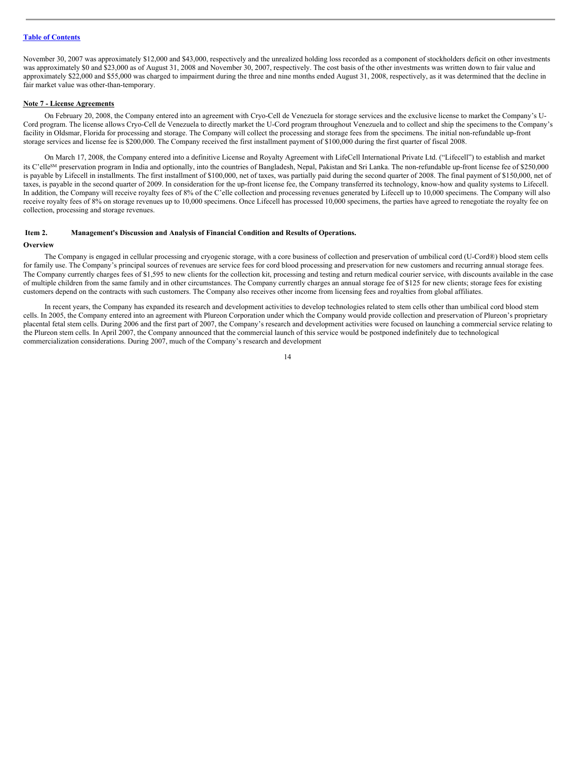November 30, 2007 was approximately \$12,000 and \$43,000, respectively and the unrealized holding loss recorded as a component of stockholders deficit on other investments was approximately \$0 and \$23,000 as of August 31, 2008 and November 30, 2007, respectively. The cost basis of the other investments was written down to fair value and approximately \$22,000 and \$55,000 was charged to impairment during the three and nine months ended August 31, 2008, respectively, as it was determined that the decline in fair market value was other-than-temporary.

#### **Note 7 - License Agreements**

On February 20, 2008, the Company entered into an agreement with Cryo-Cell de Venezuela for storage services and the exclusive license to market the Company's U-Cord program. The license allows Cryo-Cell de Venezuela to directly market the U-Cord program throughout Venezuela and to collect and ship the specimens to the Company's facility in Oldsmar, Florida for processing and storage. The Company will collect the processing and storage fees from the specimens. The initial non-refundable up-front storage services and license fee is \$200,000. The Company received the first installment payment of \$100,000 during the first quarter of fiscal 2008.

On March 17, 2008, the Company entered into a definitive License and Royalty Agreement with LifeCell International Private Ltd. ("Lifecell") to establish and market its C'elle<sup>SM</sup> preservation program in India and optionally, into the countries of Bangladesh, Nepal, Pakistan and Sri Lanka. The non-refundable up-front license fee of \$250,000 is payable by Lifecell in installments. The first installment of \$100,000, net of taxes, was partially paid during the second quarter of 2008. The final payment of \$150,000, net of taxes, is payable in the second quarter of 2009. In consideration for the up-front license fee, the Company transferred its technology, know-how and quality systems to Lifecell. In addition, the Company will receive royalty fees of 8% of the C'elle collection and processing revenues generated by Lifecell up to 10,000 specimens. The Company will also receive royalty fees of 8% on storage revenues up to 10,000 specimens. Once Lifecell has processed 10,000 specimens, the parties have agreed to renegotiate the royalty fee on collection, processing and storage revenues.

#### <span id="page-13-0"></span>**Item 2. Management's Discussion and Analysis of Financial Condition and Results of Operations.**

#### **Overview**

The Company is engaged in cellular processing and cryogenic storage, with a core business of collection and preservation of umbilical cord (U-Cord®) blood stem cells for family use. The Company's principal sources of revenues are service fees for cord blood processing and preservation for new customers and recurring annual storage fees. The Company currently charges fees of \$1,595 to new clients for the collection kit, processing and testing and return medical courier service, with discounts available in the case of multiple children from the same family and in other circumstances. The Company currently charges an annual storage fee of \$125 for new clients; storage fees for existing customers depend on the contracts with such customers. The Company also receives other income from licensing fees and royalties from global affiliates.

In recent years, the Company has expanded its research and development activities to develop technologies related to stem cells other than umbilical cord blood stem cells. In 2005, the Company entered into an agreement with Plureon Corporation under which the Company would provide collection and preservation of Plureon's proprietary placental fetal stem cells. During 2006 and the first part of 2007, the Company's research and development activities were focused on launching a commercial service relating to the Plureon stem cells. In April 2007, the Company announced that the commercial launch of this service would be postponed indefinitely due to technological commercialization considerations. During 2007, much of the Company's research and development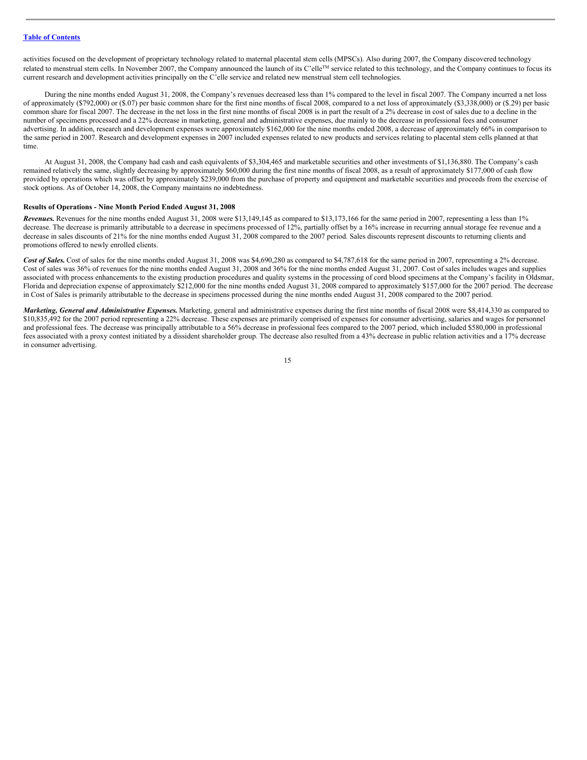activities focused on the development of proprietary technology related to maternal placental stem cells (MPSCs). Also during 2007, the Company discovered technology related to menstrual stem cells. In November 2007, the Company announced the launch of its C'elle™ service related to this technology, and the Company continues to focus its current research and development activities principally on the C'elle service and related new menstrual stem cell technologies.

During the nine months ended August 31, 2008, the Company's revenues decreased less than 1% compared to the level in fiscal 2007. The Company incurred a net loss of approximately (\$792,000) or (\$.07) per basic common share for the first nine months of fiscal 2008, compared to a net loss of approximately (\$3,338,000) or (\$.29) per basic common share for fiscal 2007. The decrease in the net loss in the first nine months of fiscal 2008 is in part the result of a 2% decrease in cost of sales due to a decline in the number of specimens processed and a 22% decrease in marketing, general and administrative expenses, due mainly to the decrease in professional fees and consumer advertising. In addition, research and development expenses were approximately \$162,000 for the nine months ended 2008, a decrease of approximately 66% in comparison to the same period in 2007. Research and development expenses in 2007 included expenses related to new products and services relating to placental stem cells planned at that time.

At August 31, 2008, the Company had cash and cash equivalents of \$3,304,465 and marketable securities and other investments of \$1,136,880. The Company's cash remained relatively the same, slightly decreasing by approximately \$60,000 during the first nine months of fiscal 2008, as a result of approximately \$177,000 of cash flow provided by operations which was offset by approximately \$239,000 from the purchase of property and equipment and marketable securities and proceeds from the exercise of stock options. As of October 14, 2008, the Company maintains no indebtedness.

#### **Results of Operations - Nine Month Period Ended August 31, 2008**

*Revenues.* Revenues for the nine months ended August 31, 2008 were \$13,149,145 as compared to \$13,173,166 for the same period in 2007, representing a less than 1% decrease. The decrease is primarily attributable to a decrease in specimens processed of 12%, partially offset by a 16% increase in recurring annual storage fee revenue and a decrease in sales discounts of 21% for the nine months ended August 31, 2008 compared to the 2007 period. Sales discounts represent discounts to returning clients and promotions offered to newly enrolled clients.

Cost of Sales. Cost of sales for the nine months ended August 31, 2008 was \$4,690,280 as compared to \$4,787,618 for the same period in 2007, representing a 2% decrease. Cost of sales was 36% of revenues for the nine months ended August 31, 2008 and 36% for the nine months ended August 31, 2007. Cost of sales includes wages and supplies associated with process enhancements to the existing production procedures and quality systems in the processing of cord blood specimens at the Company's facility in Oldsmar, Florida and depreciation expense of approximately \$212,000 for the nine months ended August 31, 2008 compared to approximately \$157,000 for the 2007 period. The decrease in Cost of Sales is primarily attributable to the decrease in specimens processed during the nine months ended August 31, 2008 compared to the 2007 period.

*Marketing, General and Administrative Expenses.* Marketing, general and administrative expenses during the first nine months of fiscal 2008 were \$8,414,330 as compared to \$10,835,492 for the 2007 period representing a 22% decrease. These expenses are primarily comprised of expenses for consumer advertising, salaries and wages for personnel and professional fees. The decrease was principally attributable to a 56% decrease in professional fees compared to the 2007 period, which included \$580,000 in professional fees associated with a proxy contest initiated by a dissident shareholder group. The decrease also resulted from a 43% decrease in public relation activities and a 17% decrease in consumer advertising.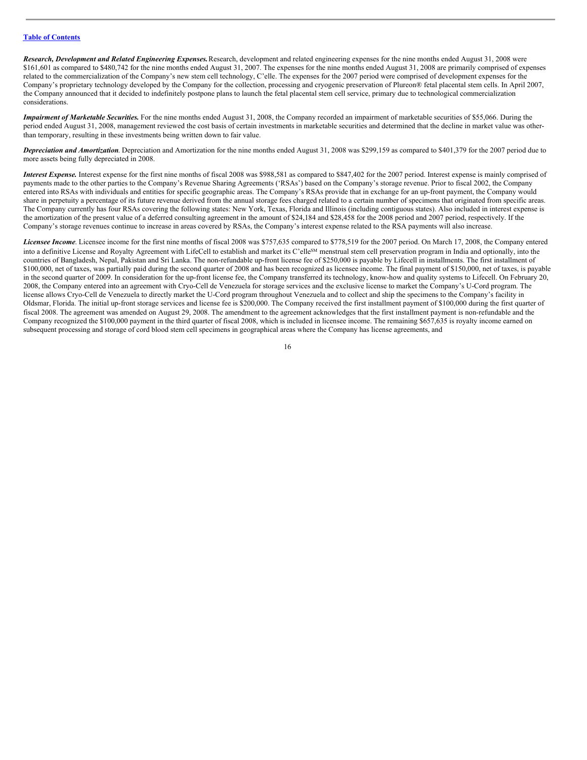*Research, Development and Related Engineering Expenses.*Research, development and related engineering expenses for the nine months ended August 31, 2008 were \$161,601 as compared to \$480,742 for the nine months ended August 31, 2007. The expenses for the nine months ended August 31, 2008 are primarily comprised of expenses related to the commercialization of the Company's new stem cell technology, C'elle. The expenses for the 2007 period were comprised of development expenses for the Company's proprietary technology developed by the Company for the collection, processing and cryogenic preservation of Plureon® fetal placental stem cells. In April 2007, the Company announced that it decided to indefinitely postpone plans to launch the fetal placental stem cell service, primary due to technological commercialization considerations.

*Impairment of Marketable Securities.* For the nine months ended August 31, 2008, the Company recorded an impairment of marketable securities of \$55,066. During the period ended August 31, 2008, management reviewed the cost basis of certain investments in marketable securities and determined that the decline in market value was otherthan temporary, resulting in these investments being written down to fair value.

*Depreciation and Amortization*. Depreciation and Amortization for the nine months ended August 31, 2008 was \$299,159 as compared to \$401,379 for the 2007 period due to more assets being fully depreciated in 2008.

*Interest Expense.* Interest expense for the first nine months of fiscal 2008 was \$988,581 as compared to \$847,402 for the 2007 period. Interest expense is mainly comprised of payments made to the other parties to the Company's Revenue Sharing Agreements ('RSAs') based on the Company's storage revenue. Prior to fiscal 2002, the Company entered into RSAs with individuals and entities for specific geographic areas. The Company's RSAs provide that in exchange for an up-front payment, the Company would share in perpetuity a percentage of its future revenue derived from the annual storage fees charged related to a certain number of specimens that originated from specific areas. The Company currently has four RSAs covering the following states: New York, Texas, Florida and Illinois (including contiguous states). Also included in interest expense is the amortization of the present value of a deferred consulting agreement in the amount of \$24,184 and \$28,458 for the 2008 period and 2007 period, respectively. If the Company's storage revenues continue to increase in areas covered by RSAs, the Company's interest expense related to the RSA payments will also increase.

*Licensee Income*. Licensee income for the first nine months of fiscal 2008 was \$757,635 compared to \$778,519 for the 2007 period. On March 17, 2008, the Company entered into a definitive License and Royalty Agreement with LifeCell to establish and market its C'elle<sup>SM</sup> menstrual stem cell preservation program in India and optionally, into the countries of Bangladesh, Nepal, Pakistan and Sri Lanka. The non-refundable up-front license fee of \$250,000 is payable by Lifecell in installments. The first installment of \$100,000, net of taxes, was partially paid during the second quarter of 2008 and has been recognized as licensee income. The final payment of \$150,000, net of taxes, is payable in the second quarter of 2009. In consideration for the up-front license fee, the Company transferred its technology, know-how and quality systems to Lifecell. On February 20, 2008, the Company entered into an agreement with Cryo-Cell de Venezuela for storage services and the exclusive license to market the Company's U-Cord program. The license allows Cryo-Cell de Venezuela to directly market the U-Cord program throughout Venezuela and to collect and ship the specimens to the Company's facility in Oldsmar, Florida. The initial up-front storage services and license fee is \$200,000. The Company received the first installment payment of \$100,000 during the first quarter of fiscal 2008. The agreement was amended on August 29, 2008. The amendment to the agreement acknowledges that the first installment payment is non-refundable and the Company recognized the \$100,000 payment in the third quarter of fiscal 2008, which is included in licensee income. The remaining \$657,635 is royalty income earned on subsequent processing and storage of cord blood stem cell specimens in geographical areas where the Company has license agreements, and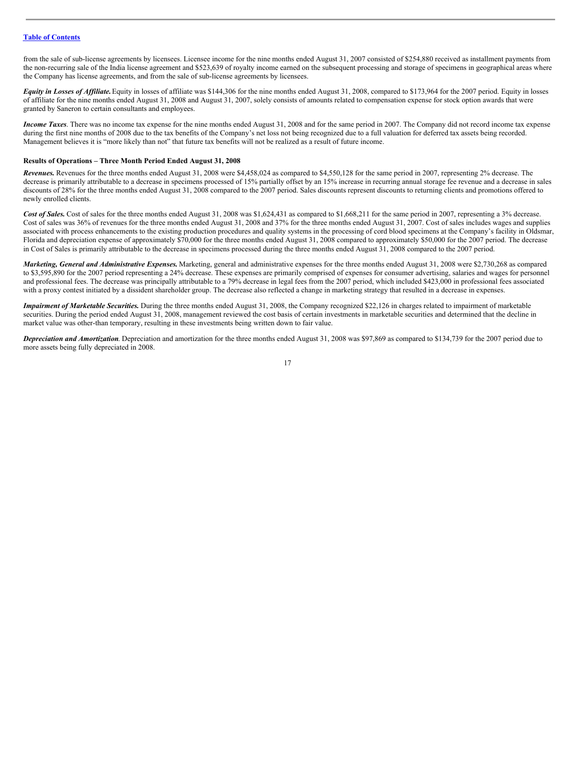from the sale of sub-license agreements by licensees. Licensee income for the nine months ended August 31, 2007 consisted of \$254,880 received as installment payments from the non-recurring sale of the India license agreement and \$523,639 of royalty income earned on the subsequent processing and storage of specimens in geographical areas where the Company has license agreements, and from the sale of sub-license agreements by licensees.

*Equity in Losses of Affiliate.* Equity in losses of affiliate was \$144,306 for the nine months ended August 31, 2008, compared to \$173,964 for the 2007 period. Equity in losses of affiliate for the nine months ended August 31, 2008 and August 31, 2007, solely consists of amounts related to compensation expense for stock option awards that were granted by Saneron to certain consultants and employees.

*Income Taxes*. There was no income tax expense for the nine months ended August 31, 2008 and for the same period in 2007. The Company did not record income tax expense during the first nine months of 2008 due to the tax benefits of the Company's net loss not being recognized due to a full valuation for deferred tax assets being recorded. Management believes it is "more likely than not" that future tax benefits will not be realized as a result of future income.

#### **Results of Operations – Three Month Period Ended August 31, 2008**

*Revenues.* Revenues for the three months ended August 31, 2008 were \$4,458,024 as compared to \$4,550,128 for the same period in 2007, representing 2% decrease. The decrease is primarily attributable to a decrease in specimens processed of 15% partially offset by an 15% increase in recurring annual storage fee revenue and a decrease in sales discounts of 28% for the three months ended August 31, 2008 compared to the 2007 period. Sales discounts represent discounts to returning clients and promotions offered to newly enrolled clients.

Cost of Sales. Cost of sales for the three months ended August 31, 2008 was \$1,624,431 as compared to \$1,668,211 for the same period in 2007, representing a 3% decrease. Cost of sales was 36% of revenues for the three months ended August 31, 2008 and 37% for the three months ended August 31, 2007. Cost of sales includes wages and supplies associated with process enhancements to the existing production procedures and quality systems in the processing of cord blood specimens at the Company's facility in Oldsmar, Florida and depreciation expense of approximately \$70,000 for the three months ended August 31, 2008 compared to approximately \$50,000 for the 2007 period. The decrease in Cost of Sales is primarily attributable to the decrease in specimens processed during the three months ended August 31, 2008 compared to the 2007 period.

*Marketing, General and Administrative Expenses.* Marketing, general and administrative expenses for the three months ended August 31, 2008 were \$2,730,268 as compared to \$3,595,890 for the 2007 period representing a 24% decrease. These expenses are primarily comprised of expenses for consumer advertising, salaries and wages for personnel and professional fees. The decrease was principally attributable to a 79% decrease in legal fees from the 2007 period, which included \$423,000 in professional fees associated with a proxy contest initiated by a dissident shareholder group. The decrease also reflected a change in marketing strategy that resulted in a decrease in expenses.

*Impairment of Marketable Securities.* During the three months ended August 31, 2008, the Company recognized \$22,126 in charges related to impairment of marketable securities. During the period ended August 31, 2008, management reviewed the cost basis of certain investments in marketable securities and determined that the decline in market value was other-than temporary, resulting in these investments being written down to fair value.

*Depreciation and Amortization*. Depreciation and amortization for the three months ended August 31, 2008 was \$97,869 as compared to \$134,739 for the 2007 period due to more assets being fully depreciated in 2008.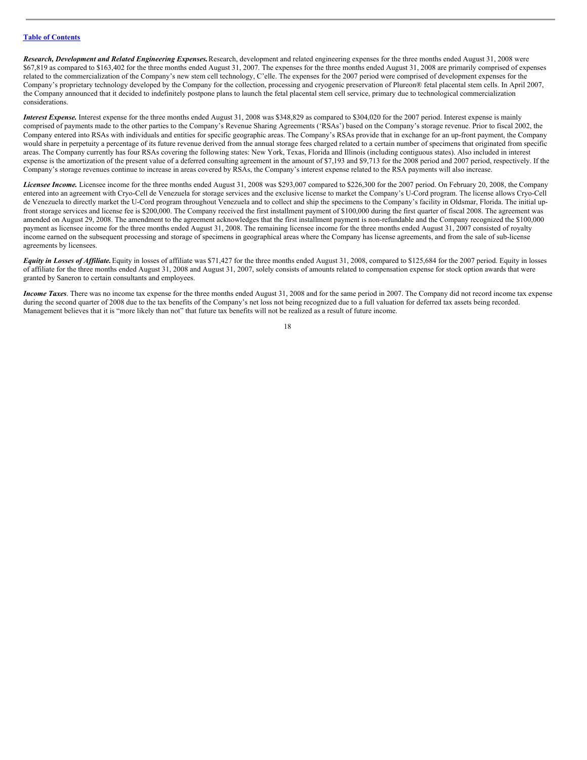*Research, Development and Related Engineering Expenses.*Research, development and related engineering expenses for the three months ended August 31, 2008 were \$67,819 as compared to \$163,402 for the three months ended August 31, 2007. The expenses for the three months ended August 31, 2008 are primarily comprised of expenses related to the commercialization of the Company's new stem cell technology, C'elle. The expenses for the 2007 period were comprised of development expenses for the Company's proprietary technology developed by the Company for the collection, processing and cryogenic preservation of Plureon® fetal placental stem cells. In April 2007, the Company announced that it decided to indefinitely postpone plans to launch the fetal placental stem cell service, primary due to technological commercialization considerations.

*Interest Expense.* Interest expense for the three months ended August 31, 2008 was \$348,829 as compared to \$304,020 for the 2007 period. Interest expense is mainly comprised of payments made to the other parties to the Company's Revenue Sharing Agreements ('RSAs') based on the Company's storage revenue. Prior to fiscal 2002, the Company entered into RSAs with individuals and entities for specific geographic areas. The Company's RSAs provide that in exchange for an up-front payment, the Company would share in perpetuity a percentage of its future revenue derived from the annual storage fees charged related to a certain number of specimens that originated from specific areas. The Company currently has four RSAs covering the following states: New York, Texas, Florida and Illinois (including contiguous states). Also included in interest expense is the amortization of the present value of a deferred consulting agreement in the amount of \$7,193 and \$9,713 for the 2008 period and 2007 period, respectively. If the Company's storage revenues continue to increase in areas covered by RSAs, the Company's interest expense related to the RSA payments will also increase.

*Licensee Income.* Licensee income for the three months ended August 31, 2008 was \$293,007 compared to \$226,300 for the 2007 period. On February 20, 2008, the Company entered into an agreement with Cryo-Cell de Venezuela for storage services and the exclusive license to market the Company's U-Cord program. The license allows Cryo-Cell de Venezuela to directly market the U-Cord program throughout Venezuela and to collect and ship the specimens to the Company's facility in Oldsmar, Florida. The initial upfront storage services and license fee is \$200,000. The Company received the first installment payment of \$100,000 during the first quarter of fiscal 2008. The agreement was amended on August 29, 2008. The amendment to the agreement acknowledges that the first installment payment is non-refundable and the Company recognized the \$100,000 payment as licensee income for the three months ended August 31, 2008. The remaining licensee income for the three months ended August 31, 2007 consisted of royalty income earned on the subsequent processing and storage of specimens in geographical areas where the Company has license agreements, and from the sale of sub-license agreements by licensees.

*Equity in Losses of Af iliate.*Equity in losses of affiliate was \$71,427 for the three months ended August 31, 2008, compared to \$125,684 for the 2007 period. Equity in losses of affiliate for the three months ended August 31, 2008 and August 31, 2007, solely consists of amounts related to compensation expense for stock option awards that were granted by Saneron to certain consultants and employees.

*Income Taxes*. There was no income tax expense for the three months ended August 31, 2008 and for the same period in 2007. The Company did not record income tax expense during the second quarter of 2008 due to the tax benefits of the Company's net loss not being recognized due to a full valuation for deferred tax assets being recorded. Management believes that it is "more likely than not" that future tax benefits will not be realized as a result of future income.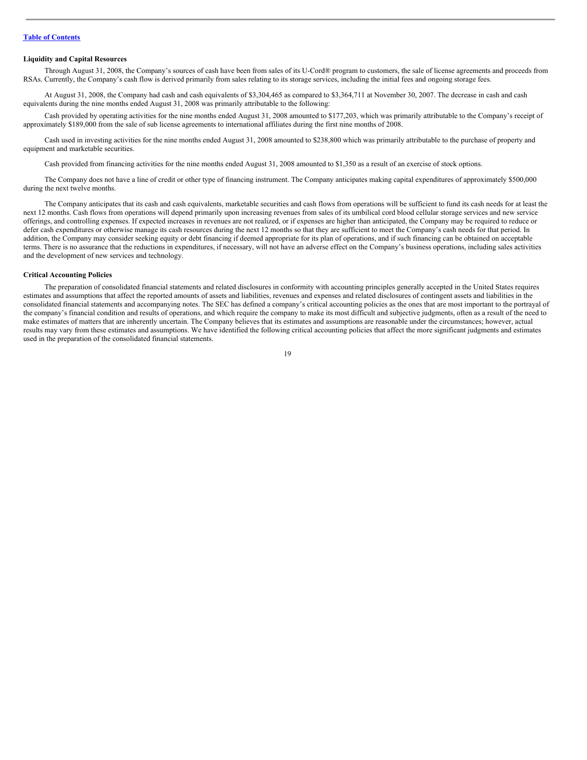#### **Liquidity and Capital Resources**

Through August 31, 2008, the Company's sources of cash have been from sales of its U-Cord® program to customers, the sale of license agreements and proceeds from RSAs. Currently, the Company's cash flow is derived primarily from sales relating to its storage services, including the initial fees and ongoing storage fees.

At August 31, 2008, the Company had cash and cash equivalents of \$3,304,465 as compared to \$3,364,711 at November 30, 2007. The decrease in cash and cash equivalents during the nine months ended August 31, 2008 was primarily attributable to the following:

Cash provided by operating activities for the nine months ended August 31, 2008 amounted to \$177,203, which was primarily attributable to the Company's receipt of approximately \$189,000 from the sale of sub license agreements to international affiliates during the first nine months of 2008.

Cash used in investing activities for the nine months ended August 31, 2008 amounted to \$238,800 which was primarily attributable to the purchase of property and equipment and marketable securities.

Cash provided from financing activities for the nine months ended August 31, 2008 amounted to \$1,350 as a result of an exercise of stock options.

The Company does not have a line of credit or other type of financing instrument. The Company anticipates making capital expenditures of approximately \$500,000 during the next twelve months.

The Company anticipates that its cash and cash equivalents, marketable securities and cash flows from operations will be sufficient to fund its cash needs for at least the next 12 months. Cash flows from operations will depend primarily upon increasing revenues from sales of its umbilical cord blood cellular storage services and new service offerings, and controlling expenses. If expected increases in revenues are not realized, or if expenses are higher than anticipated, the Company may be required to reduce or defer cash expenditures or otherwise manage its cash resources during the next 12 months so that they are sufficient to meet the Company's cash needs for that period. In addition, the Company may consider seeking equity or debt financing if deemed appropriate for its plan of operations, and if such financing can be obtained on acceptable terms. There is no assurance that the reductions in expenditures, if necessary, will not have an adverse effect on the Company's business operations, including sales activities and the development of new services and technology.

#### **Critical Accounting Policies**

The preparation of consolidated financial statements and related disclosures in conformity with accounting principles generally accepted in the United States requires estimates and assumptions that affect the reported amounts of assets and liabilities, revenues and expenses and related disclosures of contingent assets and liabilities in the consolidated financial statements and accompanying notes. The SEC has defined a company's critical accounting policies as the ones that are most important to the portrayal of the company's financial condition and results of operations, and which require the company to make its most difficult and subjective judgments, often as a result of the need to make estimates of matters that are inherently uncertain. The Company believes that its estimates and assumptions are reasonable under the circumstances; however, actual results may vary from these estimates and assumptions. We have identified the following critical accounting policies that affect the more significant judgments and estimates used in the preparation of the consolidated financial statements.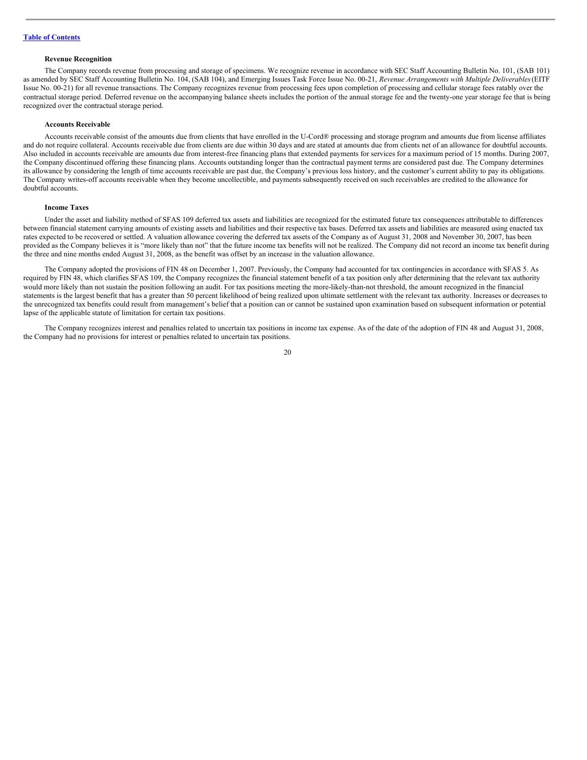#### **Revenue Recognition**

The Company records revenue from processing and storage of specimens. We recognize revenue in accordance with SEC Staff Accounting Bulletin No. 101, (SAB 101) as amended by SEC Staff Accounting Bulletin No. 104, (SAB 104), and Emerging Issues Task Force Issue No. 00-21, *Revenue Arrangements with Multiple Deliverables*(EITF Issue No. 00-21) for all revenue transactions. The Company recognizes revenue from processing fees upon completion of processing and cellular storage fees ratably over the contractual storage period. Deferred revenue on the accompanying balance sheets includes the portion of the annual storage fee and the twenty-one year storage fee that is being recognized over the contractual storage period.

#### **Accounts Receivable**

Accounts receivable consist of the amounts due from clients that have enrolled in the U-Cord® processing and storage program and amounts due from license affiliates and do not require collateral. Accounts receivable due from clients are due within 30 days and are stated at amounts due from clients net of an allowance for doubtful accounts. Also included in accounts receivable are amounts due from interest-free financing plans that extended payments for services for a maximum period of 15 months. During 2007, the Company discontinued offering these financing plans. Accounts outstanding longer than the contractual payment terms are considered past due. The Company determines its allowance by considering the length of time accounts receivable are past due, the Company's previous loss history, and the customer's current ability to pay its obligations. The Company writes-off accounts receivable when they become uncollectible, and payments subsequently received on such receivables are credited to the allowance for doubtful accounts.

#### **Income Taxes**

Under the asset and liability method of SFAS 109 deferred tax assets and liabilities are recognized for the estimated future tax consequences attributable to differences between financial statement carrying amounts of existing assets and liabilities and their respective tax bases. Deferred tax assets and liabilities are measured using enacted tax rates expected to be recovered or settled. A valuation allowance covering the deferred tax assets of the Company as of August 31, 2008 and November 30, 2007, has been provided as the Company believes it is "more likely than not" that the future income tax benefits will not be realized. The Company did not record an income tax benefit during the three and nine months ended August 31, 2008, as the benefit was offset by an increase in the valuation allowance.

The Company adopted the provisions of FIN 48 on December 1, 2007. Previously, the Company had accounted for tax contingencies in accordance with SFAS 5. As required by FIN 48, which clarifies SFAS 109, the Company recognizes the financial statement benefit of a tax position only after determining that the relevant tax authority would more likely than not sustain the position following an audit. For tax positions meeting the more-likely-than-not threshold, the amount recognized in the financial statements is the largest benefit that has a greater than 50 percent likelihood of being realized upon ultimate settlement with the relevant tax authority. Increases or decreases to the unrecognized tax benefits could result from management's belief that a position can or cannot be sustained upon examination based on subsequent information or potential lapse of the applicable statute of limitation for certain tax positions.

The Company recognizes interest and penalties related to uncertain tax positions in income tax expense. As of the date of the adoption of FIN 48 and August 31, 2008, the Company had no provisions for interest or penalties related to uncertain tax positions.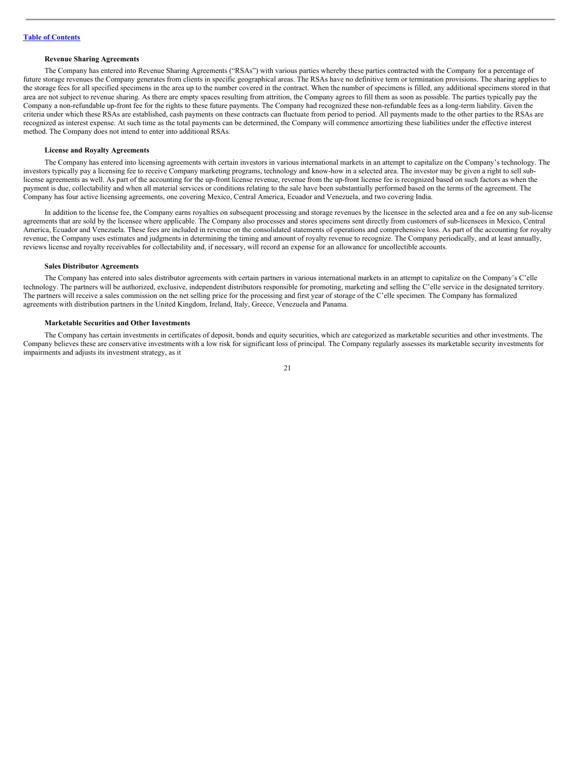#### **Revenue Sharing Agreements**

The Company has entered into Revenue Sharing Agreements ("RSAs") with various parties whereby these parties contracted with the Company for a percentage of future storage revenues the Company generates from clients in specific geographical areas. The RSAs have no definitive term or termination provisions. The sharing applies to the storage fees for all specified specimens in the area up to the number covered in the contract. When the number of specimens is filled, any additional specimens stored in that area are not subject to revenue sharing. As there are empty spaces resulting from attrition, the Company agrees to fill them as soon as possible. The parties typically pay the Company a non-refundable up-front fee for the rights to these future payments. The Company had recognized these non-refundable fees as a long-term liability. Given the criteria under which these RSAs are established, cash payments on these contracts can fluctuate from period to period. All payments made to the other parties to the RSAs are recognized as interest expense. At such time as the total payments can be determined, the Company will commence amortizing these liabilities under the effective interest method. The Company does not intend to enter into additional RSAs.

#### **License and Royalty Agreements**

The Company has entered into licensing agreements with certain investors in various international markets in an attempt to capitalize on the Company's technology. The investors typically pay a licensing fee to receive Company marketing programs, technology and know-how in a selected area. The investor may be given a right to sell sublicense agreements as well. As part of the accounting for the up-front license revenue, revenue from the up-front license fee is recognized based on such factors as when the payment is due, collectability and when all material services or conditions relating to the sale have been substantially performed based on the terms of the agreement. The Company has four active licensing agreements, one covering Mexico, Central America, Ecuador and Venezuela, and two covering India.

In addition to the license fee, the Company earns royalties on subsequent processing and storage revenues by the licensee in the selected area and a fee on any sub-license agreements that are sold by the licensee where applicable. The Company also processes and stores specimens sent directly from customers of sub-licensees in Mexico, Central America, Ecuador and Venezuela. These fees are included in revenue on the consolidated statements of operations and comprehensive loss. As part of the accounting for royalty revenue, the Company uses estimates and judgments in determining the timing and amount of royalty revenue to recognize. The Company periodically, and at least annually, reviews license and royalty receivables for collectability and, if necessary, will record an expense for an allowance for uncollectible accounts.

#### **Sales Distributor Agreements**

The Company has entered into sales distributor agreements with certain partners in various international markets in an attempt to capitalize on the Company's C'elle technology. The partners will be authorized, exclusive, independent distributors responsible for promoting, marketing and selling the C'elle service in the designated territory. The partners will receive a sales commission on the net selling price for the processing and first year of storage of the C'elle specimen. The Company has formalized agreements with distribution partners in the United Kingdom, Ireland, Italy, Greece, Venezuela and Panama.

#### **Marketable Securities and Other Investments**

The Company has certain investments in certificates of deposit, bonds and equity securities, which are categorized as marketable securities and other investments. The Company believes these are conservative investments with a low risk for significant loss of principal. The Company regularly assesses its marketable security investments for impairments and adjusts its investment strategy, as it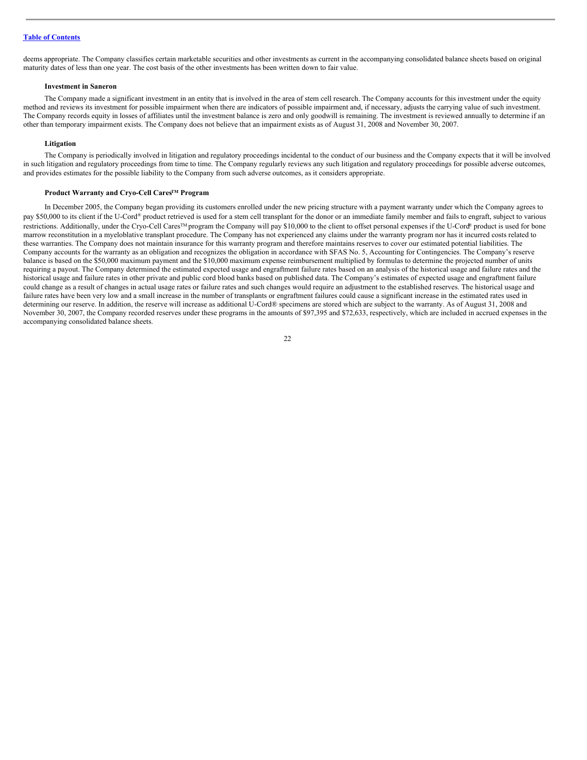deems appropriate. The Company classifies certain marketable securities and other investments as current in the accompanying consolidated balance sheets based on original maturity dates of less than one year. The cost basis of the other investments has been written down to fair value.

#### **Investment in Saneron**

The Company made a significant investment in an entity that is involved in the area of stem cell research. The Company accounts for this investment under the equity method and reviews its investment for possible impairment when there are indicators of possible impairment and, if necessary, adjusts the carrying value of such investment. The Company records equity in losses of affiliates until the investment balance is zero and only goodwill is remaining. The investment is reviewed annually to determine if an other than temporary impairment exists. The Company does not believe that an impairment exists as of August 31, 2008 and November 30, 2007.

#### **Litigation**

The Company is periodically involved in litigation and regulatory proceedings incidental to the conduct of our business and the Company expects that it will be involved in such litigation and regulatory proceedings from time to time. The Company regularly reviews any such litigation and regulatory proceedings for possible adverse outcomes, and provides estimates for the possible liability to the Company from such adverse outcomes, as it considers appropriate.

### **Product Warranty and Cryo-Cell CaresTM Program**

In December 2005, the Company began providing its customers enrolled under the new pricing structure with a payment warranty under which the Company agrees to pay \$50,000 to its client if the U-Cord® product retrieved is used for a stem cell transplant for the donor or an immediate family member and fails to engraft, subject to various restrictions. Additionally, under the Cryo-Cell Cares<sup>™</sup> program the Company will pay \$10,000 to the client to offset personal expenses if the U-Cord® product is used for bone marrow reconstitution in a myeloblative transplant procedure. The Company has not experienced any claims under the warranty program nor has it incurred costs related to these warranties. The Company does not maintain insurance for this warranty program and therefore maintains reserves to cover our estimated potential liabilities. The Company accounts for the warranty as an obligation and recognizes the obligation in accordance with SFAS No. 5, Accounting for Contingencies. The Company's reserve balance is based on the \$50,000 maximum payment and the \$10,000 maximum expense reimbursement multiplied by formulas to determine the projected number of units requiring a payout. The Company determined the estimated expected usage and engraftment failure rates based on an analysis of the historical usage and failure rates and the historical usage and failure rates in other private and public cord blood banks based on published data. The Company's estimates of expected usage and engraftment failure could change as a result of changes in actual usage rates or failure rates and such changes would require an adjustment to the established reserves. The historical usage and failure rates have been very low and a small increase in the number of transplants or engraftment failures could cause a significant increase in the estimated rates used in determining our reserve. In addition, the reserve will increase as additional U-Cord® specimens are stored which are subject to the warranty. As of August 31, 2008 and November 30, 2007, the Company recorded reserves under these programs in the amounts of \$97,395 and \$72,633, respectively, which are included in accrued expenses in the accompanying consolidated balance sheets.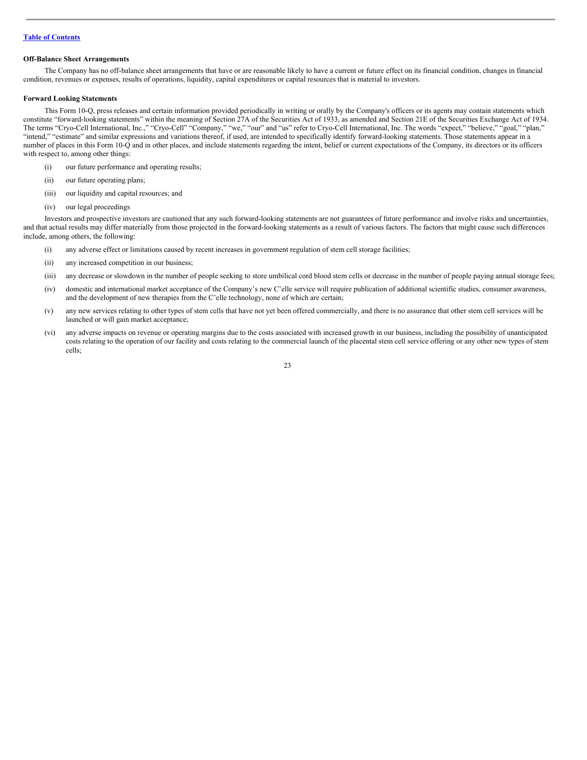#### **Off-Balance Sheet Arrangements**

The Company has no off-balance sheet arrangements that have or are reasonable likely to have a current or future effect on its financial condition, changes in financial condition, revenues or expenses, results of operations, liquidity, capital expenditures or capital resources that is material to investors.

#### **Forward Looking Statements**

This Form 10-Q, press releases and certain information provided periodically in writing or orally by the Company's officers or its agents may contain statements which constitute "forward-looking statements" within the meaning of Section 27A of the Securities Act of 1933, as amended and Section 21E of the Securities Exchange Act of 1934. The terms "Cryo-Cell International, Inc.," "Cryo-Cell" "Company," "we," "our" and "us" refer to Cryo-Cell International, Inc. The words "expect," "believe," "goal," "plan," "intend," "estimate" and similar expressions and variations thereof, if used, are intended to specifically identify forward-looking statements. Those statements appear in a number of places in this Form 10-Q and in other places, and include statements regarding the intent, belief or current expectations of the Company, its directors or its officers with respect to, among other things:

- (i) our future performance and operating results;
- (ii) our future operating plans;
- (iii) our liquidity and capital resources; and
- (iv) our legal proceedings

Investors and prospective investors are cautioned that any such forward-looking statements are not guarantees of future performance and involve risks and uncertainties, and that actual results may differ materially from those projected in the forward-looking statements as a result of various factors. The factors that might cause such differences include, among others, the following:

- (i) any adverse effect or limitations caused by recent increases in government regulation of stem cell storage facilities;
- (ii) any increased competition in our business;
- (iii) any decrease or slowdown in the number of people seeking to store umbilical cord blood stem cells or decrease in the number of people paying annual storage fees;
- (iv) domestic and international market acceptance of the Company's new C'elle service will require publication of additional scientific studies, consumer awareness, and the development of new therapies from the C'elle technology, none of which are certain;
- (v) any new services relating to other types of stem cells that have not yet been offered commercially, and there is no assurance that other stem cell services will be launched or will gain market acceptance;
- (vi) any adverse impacts on revenue or operating margins due to the costs associated with increased growth in our business, including the possibility of unanticipated costs relating to the operation of our facility and costs relating to the commercial launch of the placental stem cell service offering or any other new types of stem cells;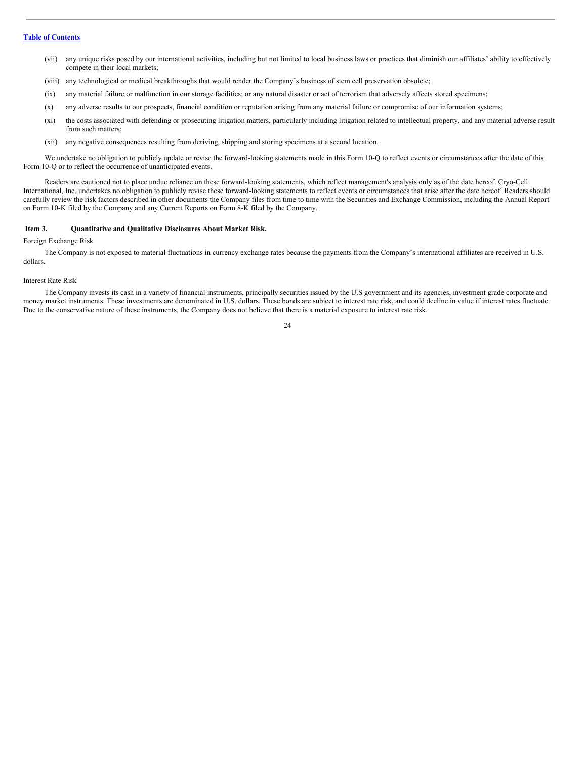- (vii) any unique risks posed by our international activities, including but not limited to local business laws or practices that diminish our affiliates' ability to effectively compete in their local markets;
- (viii) any technological or medical breakthroughs that would render the Company's business of stem cell preservation obsolete;
- (ix) any material failure or malfunction in our storage facilities; or any natural disaster or act of terrorism that adversely affects stored specimens;
- (x) any adverse results to our prospects, financial condition or reputation arising from any material failure or compromise of our information systems;
- (xi) the costs associated with defending or prosecuting litigation matters, particularly including litigation related to intellectual property, and any material adverse result from such matters;
- (xii) any negative consequences resulting from deriving, shipping and storing specimens at a second location.

We undertake no obligation to publicly update or revise the forward-looking statements made in this Form 10-Q to reflect events or circumstances after the date of this Form 10-Q or to reflect the occurrence of unanticipated events.

Readers are cautioned not to place undue reliance on these forward-looking statements, which reflect management's analysis only as of the date hereof. Cryo-Cell International, Inc. undertakes no obligation to publicly revise these forward-looking statements to reflect events or circumstances that arise after the date hereof. Readers should carefully review the risk factors described in other documents the Company files from time to time with the Securities and Exchange Commission, including the Annual Report on Form 10-K filed by the Company and any Current Reports on Form 8-K filed by the Company.

#### <span id="page-23-0"></span>**Item 3. Quantitative and Qualitative Disclosures About Market Risk.**

### Foreign Exchange Risk

The Company is not exposed to material fluctuations in currency exchange rates because the payments from the Company's international affiliates are received in U.S. dollars.

#### Interest Rate Risk

The Company invests its cash in a variety of financial instruments, principally securities issued by the U.S government and its agencies, investment grade corporate and money market instruments. These investments are denominated in U.S. dollars. These bonds are subject to interest rate risk, and could decline in value if interest rates fluctuate. Due to the conservative nature of these instruments, the Company does not believe that there is a material exposure to interest rate risk.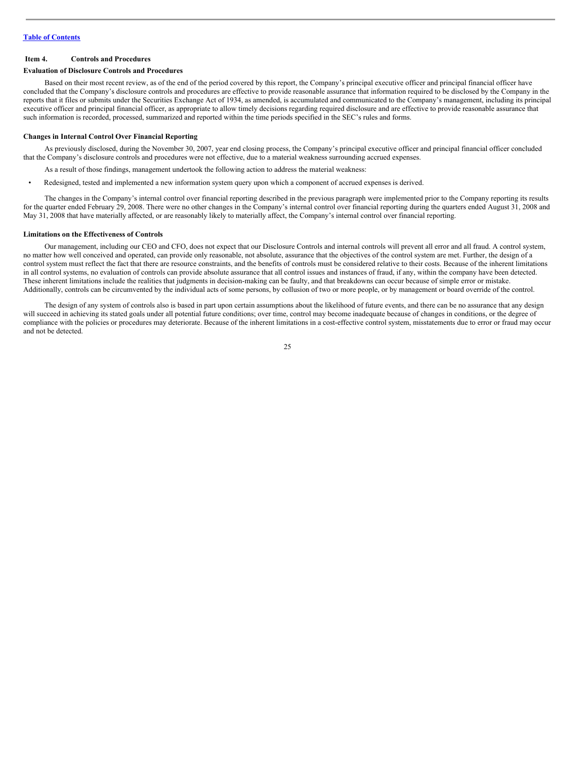#### <span id="page-24-0"></span>**Item 4. Controls and Procedures**

#### **Evaluation of Disclosure Controls and Procedures**

Based on their most recent review, as of the end of the period covered by this report, the Company's principal executive officer and principal financial officer have concluded that the Company's disclosure controls and procedures are effective to provide reasonable assurance that information required to be disclosed by the Company in the reports that it files or submits under the Securities Exchange Act of 1934, as amended, is accumulated and communicated to the Company's management, including its principal executive officer and principal financial officer, as appropriate to allow timely decisions regarding required disclosure and are effective to provide reasonable assurance that such information is recorded, processed, summarized and reported within the time periods specified in the SEC's rules and forms.

#### **Changes in Internal Control Over Financial Reporting**

As previously disclosed, during the November 30, 2007, year end closing process, the Company's principal executive officer and principal financial officer concluded that the Company's disclosure controls and procedures were not effective, due to a material weakness surrounding accrued expenses.

As a result of those findings, management undertook the following action to address the material weakness:

• Redesigned, tested and implemented a new information system query upon which a component of accrued expenses is derived.

The changes in the Company's internal control over financial reporting described in the previous paragraph were implemented prior to the Company reporting its results for the quarter ended February 29, 2008. There were no other changes in the Company's internal control over financial reporting during the quarters ended August 31, 2008 and May 31, 2008 that have materially affected, or are reasonably likely to materially affect, the Company's internal control over financial reporting.

#### **Limitations on the Effectiveness of Controls**

Our management, including our CEO and CFO, does not expect that our Disclosure Controls and internal controls will prevent all error and all fraud. A control system, no matter how well conceived and operated, can provide only reasonable, not absolute, assurance that the objectives of the control system are met. Further, the design of a control system must reflect the fact that there are resource constraints, and the benefits of controls must be considered relative to their costs. Because of the inherent limitations in all control systems, no evaluation of controls can provide absolute assurance that all control issues and instances of fraud, if any, within the company have been detected. These inherent limitations include the realities that judgments in decision-making can be faulty, and that breakdowns can occur because of simple error or mistake. Additionally, controls can be circumvented by the individual acts of some persons, by collusion of two or more people, or by management or board override of the control.

The design of any system of controls also is based in part upon certain assumptions about the likelihood of future events, and there can be no assurance that any design will succeed in achieving its stated goals under all potential future conditions; over time, control may become inadequate because of changes in conditions, or the degree of compliance with the policies or procedures may deteriorate. Because of the inherent limitations in a cost-effective control system, misstatements due to error or fraud may occur and not be detected.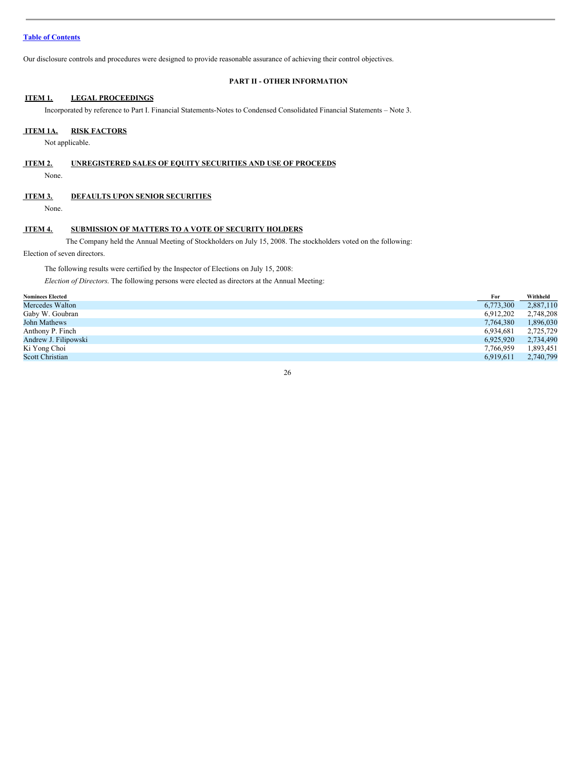Our disclosure controls and procedures were designed to provide reasonable assurance of achieving their control objectives.

### <span id="page-25-0"></span>**PART II - OTHER INFORMATION**

### <span id="page-25-1"></span>**ITEM 1. LEGAL PROCEEDINGS**

Incorporated by reference to Part I. Financial Statements-Notes to Condensed Consolidated Financial Statements – Note 3.

### <span id="page-25-2"></span>**ITEM 1A. RISK FACTORS**

Not applicable.

<span id="page-25-3"></span>

| ITEM 2. |  | UNREGISTERED SALES OF EOUITY SECURITIES AND USE OF PROCEEDS |  |
|---------|--|-------------------------------------------------------------|--|
|---------|--|-------------------------------------------------------------|--|

None.

### <span id="page-25-4"></span>**ITEM 3. DEFAULTS UPON SENIOR SECURITIES**

None.

### <span id="page-25-5"></span>**ITEM 4. SUBMISSION OF MATTERS TO A VOTE OF SECURITY HOLDERS**

The Company held the Annual Meeting of Stockholders on July 15, 2008. The stockholders voted on the following:

Election of seven directors.

The following results were certified by the Inspector of Elections on July 15, 2008:

*Election of Directors*. The following persons were elected as directors at the Annual Meeting:

| <b>Nominees Elected</b> | For       | Withheld  |
|-------------------------|-----------|-----------|
| Mercedes Walton         | 6,773,300 | 2,887,110 |
| Gaby W. Goubran         | 6.912.202 | 2,748,208 |
| John Mathews            | 7,764,380 | 1,896,030 |
| Anthony P. Finch        | 6.934.681 | 2,725,729 |
| Andrew J. Filipowski    | 6.925.920 | 2,734,490 |
| Ki Yong Choi            | 7,766,959 | 1,893,451 |
| <b>Scott Christian</b>  | 6.919.611 | 2,740,799 |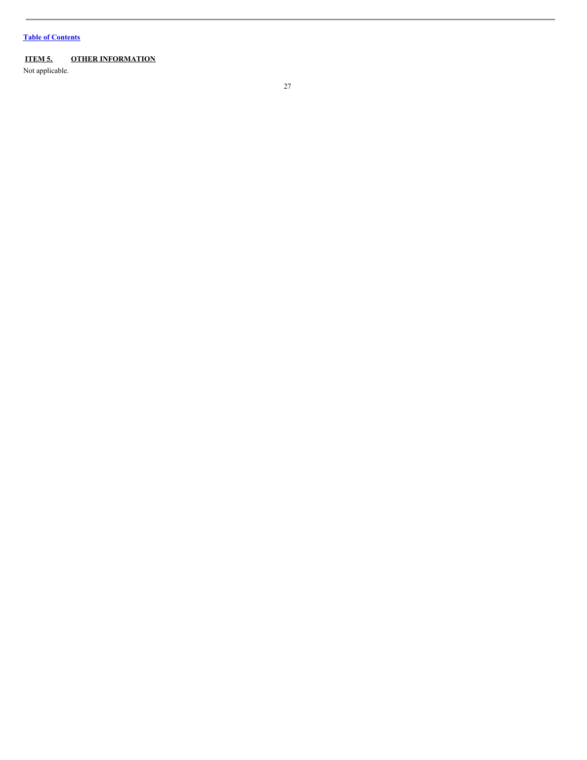# <span id="page-26-0"></span>**ITEM 5. OTHER INFORMATION**

Not applicable.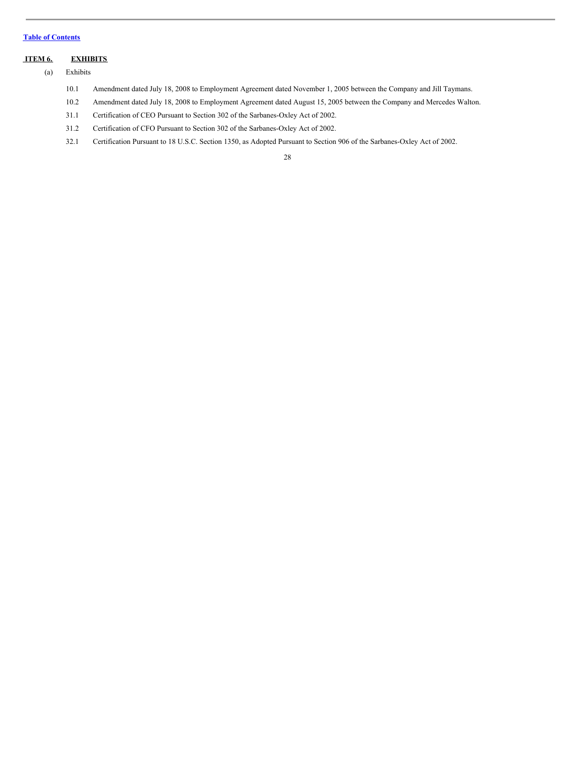### <span id="page-27-0"></span>**ITEM 6. EXHIBITS**

(a) Exhibits

- 10.1 Amendment dated July 18, 2008 to Employment Agreement dated November 1, 2005 between the Company and Jill Taymans.
- 10.2 Amendment dated July 18, 2008 to Employment Agreement dated August 15, 2005 between the Company and Mercedes Walton.
- 31.1 Certification of CEO Pursuant to Section 302 of the Sarbanes-Oxley Act of 2002.
- 31.2 Certification of CFO Pursuant to Section 302 of the Sarbanes-Oxley Act of 2002.
- 32.1 Certification Pursuant to 18 U.S.C. Section 1350, as Adopted Pursuant to Section 906 of the Sarbanes-Oxley Act of 2002.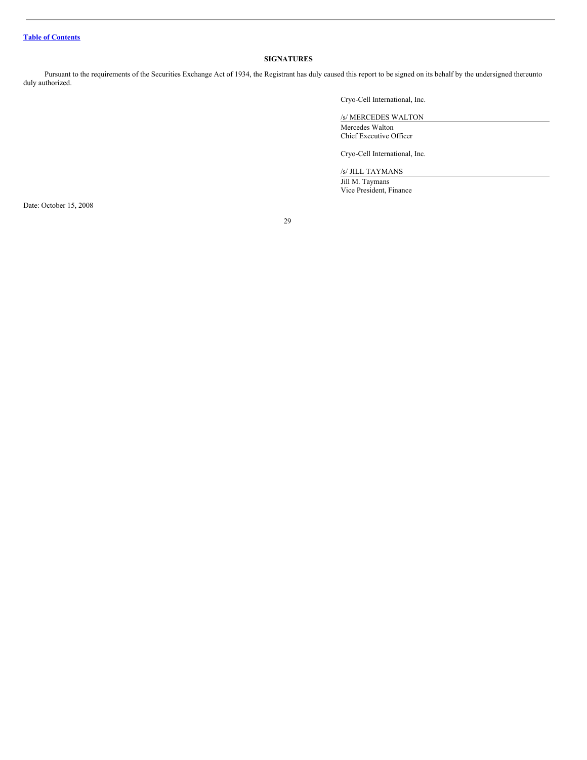### <span id="page-28-0"></span>**SIGNATURES**

Pursuant to the requirements of the Securities Exchange Act of 1934, the Registrant has duly caused this report to be signed on its behalf by the undersigned thereunto duly authorized.

Cryo-Cell International, Inc.

/s/ MERCEDES WALTON Mercedes Walton Chief Executive Officer

Cryo-Cell International, Inc.

/s/ JILL TAYMANS

Jill M. Taymans Vice President, Finance

Date: October 15, 2008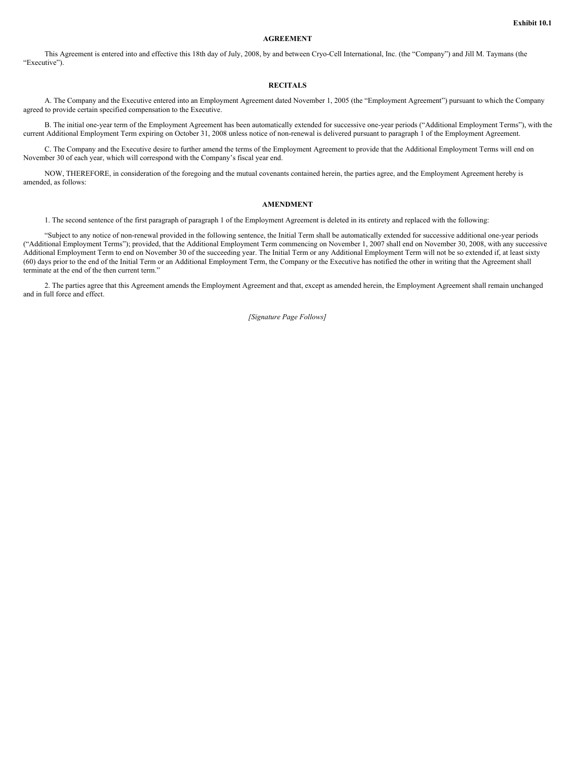#### **AGREEMENT**

This Agreement is entered into and effective this 18th day of July, 2008, by and between Cryo-Cell International, Inc. (the "Company") and Jill M. Taymans (the "Executive").

### **RECITALS**

A. The Company and the Executive entered into an Employment Agreement dated November 1, 2005 (the "Employment Agreement") pursuant to which the Company agreed to provide certain specified compensation to the Executive.

B. The initial one-year term of the Employment Agreement has been automatically extended for successive one-year periods ("Additional Employment Terms"), with the current Additional Employment Term expiring on October 31, 2008 unless notice of non-renewal is delivered pursuant to paragraph 1 of the Employment Agreement.

C. The Company and the Executive desire to further amend the terms of the Employment Agreement to provide that the Additional Employment Terms will end on November 30 of each year, which will correspond with the Company's fiscal year end.

NOW, THEREFORE, in consideration of the foregoing and the mutual covenants contained herein, the parties agree, and the Employment Agreement hereby is amended, as follows:

#### **AMENDMENT**

1. The second sentence of the first paragraph of paragraph 1 of the Employment Agreement is deleted in its entirety and replaced with the following:

"Subject to any notice of non-renewal provided in the following sentence, the Initial Term shall be automatically extended for successive additional one-year periods ("Additional Employment Terms"); provided, that the Additional Employment Term commencing on November 1, 2007 shall end on November 30, 2008, with any successive Additional Employment Term to end on November 30 of the succeeding year. The Initial Term or any Additional Employment Term will not be so extended if, at least sixty (60) days prior to the end of the Initial Term or an Additional Employment Term, the Company or the Executive has notified the other in writing that the Agreement shall terminate at the end of the then current term."

2. The parties agree that this Agreement amends the Employment Agreement and that, except as amended herein, the Employment Agreement shall remain unchanged and in full force and effect.

*[Signature Page Follows]*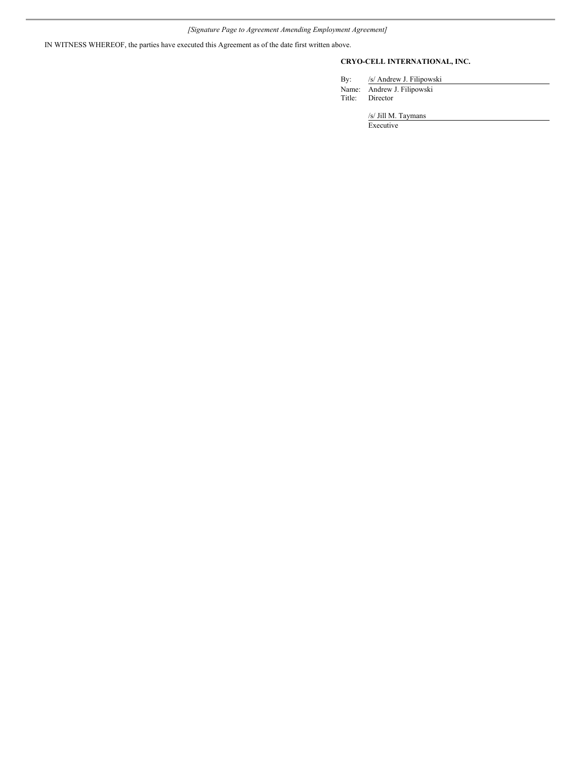IN WITNESS WHEREOF, the parties have executed this Agreement as of the date first written above.

### **CRYO-CELL INTERNATIONAL, INC.**

By: /s/ Andrew J. Filipowski Name: Andrew J. Filipowski Title: Director

/s/ Jill M. Taymans

Executive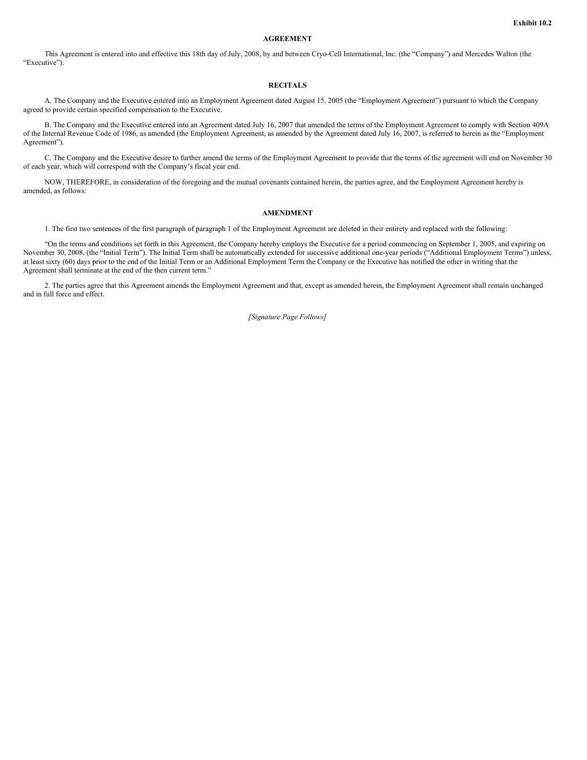#### **AGREEMENT**

This Agreement is entered into and effective this 18th day of July, 2008, by and between Cryo-Cell International, Inc. (the "Company") and Mercedes Walton (the "Executive").

### **RECITALS**

A. The Company and the Executive entered into an Employment Agreement dated August 15, 2005 (the "Employment Agreement") pursuant to which the Company agreed to provide certain specified compensation to the Executive.

B. The Company and the Executive entered into an Agreement dated July 16, 2007 that amended the terms of the Employment Agreement to comply with Section 409A of the Internal Revenue Code of 1986, as amended (the Employment Agreement, as amended by the Agreement dated July 16, 2007, is referred to herein as the "Employment Agreement").

C. The Company and the Executive desire to further amend the terms of the Employment Agreement to provide that the terms of the agreement will end on November 30 of each year, which will correspond with the Company's fiscal year end.

NOW, THEREFORE, in consideration of the foregoing and the mutual covenants contained herein, the parties agree, and the Employment Agreement hereby is amended, as follows:

#### **AMENDMENT**

1. The first two sentences of the first paragraph of paragraph 1 of the Employment Agreement are deleted in their entirety and replaced with the following:

"On the terms and conditions set forth in this Agreement, the Company hereby employs the Executive for a period commencing on September 1, 2005, and expiring on November 30, 2008, (the "Initial Term"). The Initial Term shall be automatically extended for successive additional one-year periods ("Additional Employment Terms") unless, at least sixty (60) days prior to the end of the Initial Term or an Additional Employment Term the Company or the Executive has notified the other in writing that the Agreement shall terminate at the end of the then current term."

2. The parties agree that this Agreement amends the Employment Agreement and that, except as amended herein, the Employment Agreement shall remain unchanged and in full force and effect.

*[Signature Page Follows]*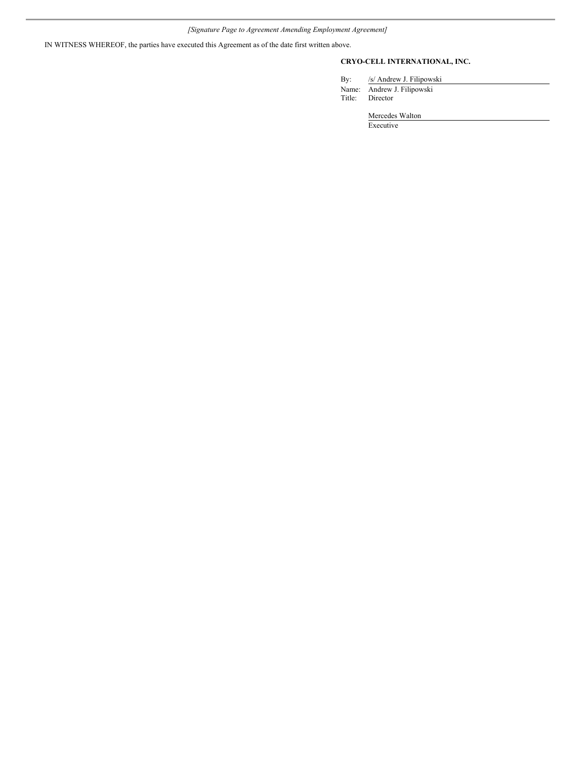IN WITNESS WHEREOF, the parties have executed this Agreement as of the date first written above.

### **CRYO-CELL INTERNATIONAL, INC.**

By: /s/ Andrew J. Filipowski Name: Andrew J. Filipowski Title: Director

Mercedes Walton

Executive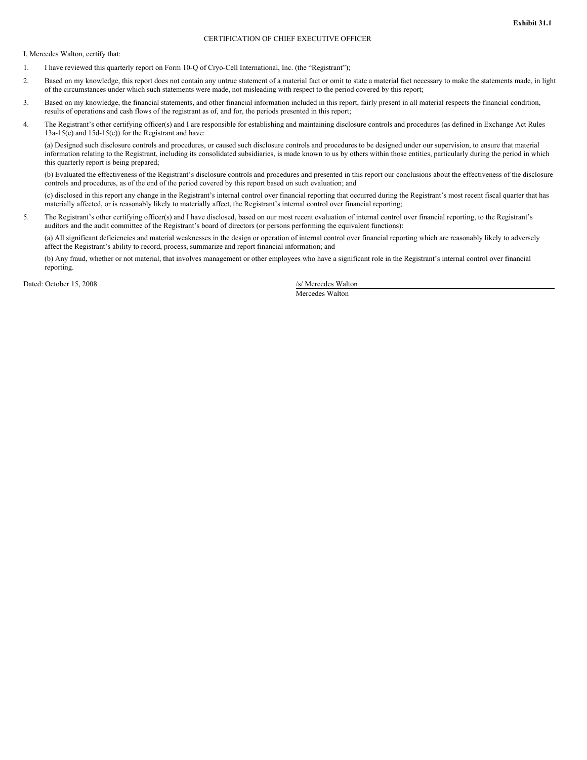### CERTIFICATION OF CHIEF EXECUTIVE OFFICER

I, Mercedes Walton, certify that:

- 1. I have reviewed this quarterly report on Form 10-Q of Cryo-Cell International, Inc. (the "Registrant");
- 2. Based on my knowledge, this report does not contain any untrue statement of a material fact or omit to state a material fact necessary to make the statements made, in light of the circumstances under which such statements were made, not misleading with respect to the period covered by this report;
- 3. Based on my knowledge, the financial statements, and other financial information included in this report, fairly present in all material respects the financial condition, results of operations and cash flows of the registrant as of, and for, the periods presented in this report;
- 4. The Registrant's other certifying officer(s) and I are responsible for establishing and maintaining disclosure controls and procedures (as defined in Exchange Act Rules 13a-15(e) and 15d-15(e)) for the Registrant and have:

(a) Designed such disclosure controls and procedures, or caused such disclosure controls and procedures to be designed under our supervision, to ensure that material information relating to the Registrant, including its consolidated subsidiaries, is made known to us by others within those entities, particularly during the period in which this quarterly report is being prepared;

(b) Evaluated the effectiveness of the Registrant's disclosure controls and procedures and presented in this report our conclusions about the effectiveness of the disclosure controls and procedures, as of the end of the period covered by this report based on such evaluation; and

(c) disclosed in this report any change in the Registrant's internal control over financial reporting that occurred during the Registrant's most recent fiscal quarter that has materially affected, or is reasonably likely to materially affect, the Registrant's internal control over financial reporting;

5. The Registrant's other certifying officer(s) and I have disclosed, based on our most recent evaluation of internal control over financial reporting, to the Registrant's auditors and the audit committee of the Registrant's board of directors (or persons performing the equivalent functions):

(a) All significant deficiencies and material weaknesses in the design or operation of internal control over financial reporting which are reasonably likely to adversely affect the Registrant's ability to record, process, summarize and report financial information; and

(b) Any fraud, whether or not material, that involves management or other employees who have a significant role in the Registrant's internal control over financial reporting.

Dated: October 15, 2008 /s/ Mercedes Walton

Mercedes Walton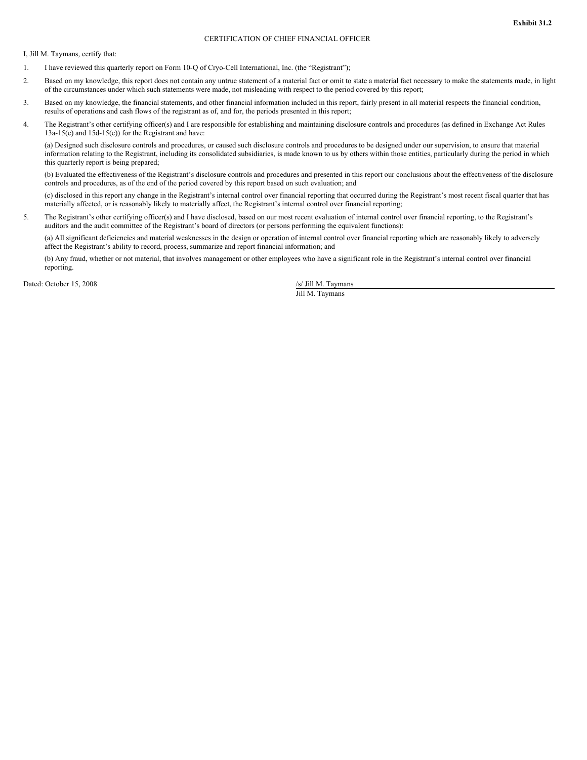### CERTIFICATION OF CHIEF FINANCIAL OFFICER

I, Jill M. Taymans, certify that:

- 1. I have reviewed this quarterly report on Form 10-Q of Cryo-Cell International, Inc. (the "Registrant");
- 2. Based on my knowledge, this report does not contain any untrue statement of a material fact or omit to state a material fact necessary to make the statements made, in light of the circumstances under which such statements were made, not misleading with respect to the period covered by this report;
- 3. Based on my knowledge, the financial statements, and other financial information included in this report, fairly present in all material respects the financial condition, results of operations and cash flows of the registrant as of, and for, the periods presented in this report;
- 4. The Registrant's other certifying officer(s) and I are responsible for establishing and maintaining disclosure controls and procedures (as defined in Exchange Act Rules 13a-15(e) and 15d-15(e)) for the Registrant and have:

(a) Designed such disclosure controls and procedures, or caused such disclosure controls and procedures to be designed under our supervision, to ensure that material information relating to the Registrant, including its consolidated subsidiaries, is made known to us by others within those entities, particularly during the period in which this quarterly report is being prepared;

(b) Evaluated the effectiveness of the Registrant's disclosure controls and procedures and presented in this report our conclusions about the effectiveness of the disclosure controls and procedures, as of the end of the period covered by this report based on such evaluation; and

(c) disclosed in this report any change in the Registrant's internal control over financial reporting that occurred during the Registrant's most recent fiscal quarter that has materially affected, or is reasonably likely to materially affect, the Registrant's internal control over financial reporting;

5. The Registrant's other certifying officer(s) and I have disclosed, based on our most recent evaluation of internal control over financial reporting, to the Registrant's auditors and the audit committee of the Registrant's board of directors (or persons performing the equivalent functions):

(a) All significant deficiencies and material weaknesses in the design or operation of internal control over financial reporting which are reasonably likely to adversely affect the Registrant's ability to record, process, summarize and report financial information; and

(b) Any fraud, whether or not material, that involves management or other employees who have a significant role in the Registrant's internal control over financial reporting.

Dated: October 15, 2008 /s/ Jill M. Taymans

Jill M. Taymans